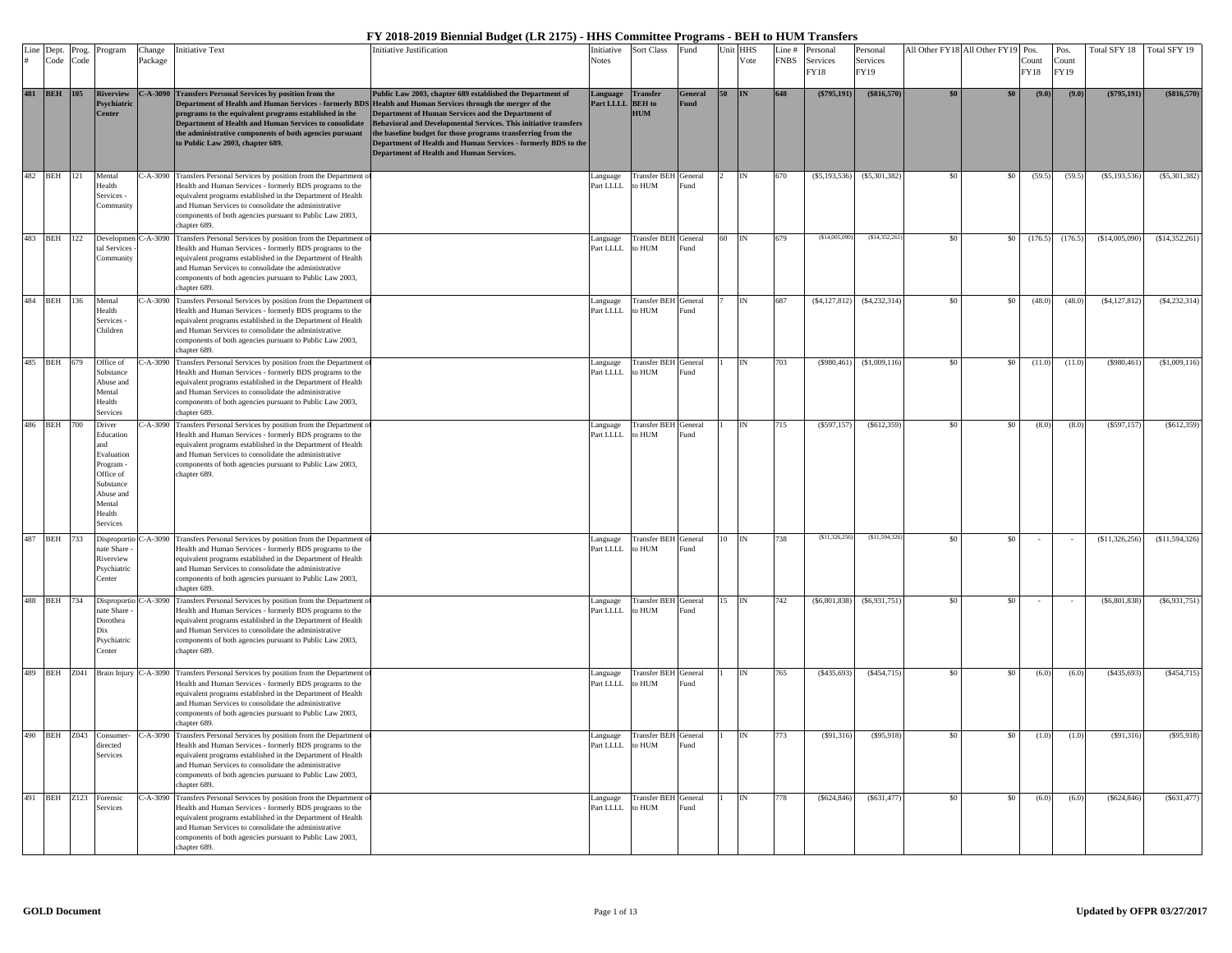| Line Dept.      | Prog. | Program                                                                                                             | Change      | <b>Initiative Text</b>                                                                                                                                                                                                                                                                                                                                                                   | Initiative Justification                                                                                                                                                                                                                                                                                                                                                 | Initiative                   | Sort Class                           | Fund             |    | Unit HHS | Line#       | Personal         | Personal         |     | All Other FY18 All Other FY19 Pos. |               | Pos.          | Total SFY 18    | Total SFY 19    |
|-----------------|-------|---------------------------------------------------------------------------------------------------------------------|-------------|------------------------------------------------------------------------------------------------------------------------------------------------------------------------------------------------------------------------------------------------------------------------------------------------------------------------------------------------------------------------------------------|--------------------------------------------------------------------------------------------------------------------------------------------------------------------------------------------------------------------------------------------------------------------------------------------------------------------------------------------------------------------------|------------------------------|--------------------------------------|------------------|----|----------|-------------|------------------|------------------|-----|------------------------------------|---------------|---------------|-----------------|-----------------|
| Code            | Code  |                                                                                                                     | Package     |                                                                                                                                                                                                                                                                                                                                                                                          |                                                                                                                                                                                                                                                                                                                                                                          | <b>Notes</b>                 |                                      |                  |    | Vote     | <b>FNBS</b> | Services<br>FY18 | Services<br>FY19 |     |                                    | Count<br>FY18 | Count<br>FY19 |                 |                 |
| 481 BEH 105     |       | <b>Riverview</b><br>svchiatri<br><b>Tenter</b>                                                                      | $C-A-3090$  | <b>Transfers Personal Services by position from the</b><br>Department of Health and Human Services - formerly BDS Health and Human Services through the merger of the<br>programs to the equivalent programs established in the<br>Department of Health and Human Services to consolidate<br>the administrative components of both agencies pursuant<br>to Public Law 2003, chapter 689. | Public Law 2003, chapter 689 established the Department of<br>Department of Human Services and the Department of<br>Behavioral and Developmental Services. This initiative transfers<br>the baseline budget for those programs transferring from the<br>Department of Health and Human Services - formerly BDS to the<br><b>Department of Health and Human Services.</b> | Language<br>Part LLLL BEH to | Transfer<br><b>HUM</b>               | General<br>Fund  | 50 | IN       | 648         | $(\$795,191)$    | (\$816,570)      |     | \$0                                | (9.0)         | (9.0)         | (\$795,191)     | (\$816,570)     |
| 482 BEH 121     |       | Mental<br>Health<br>Services -<br>`ommunit                                                                          |             | C-A-3090 Transfers Personal Services by position from the Department of<br>Health and Human Services - formerly BDS programs to the<br>equivalent programs established in the Department of Health<br>and Human Services to consolidate the administrative<br>components of both agencies pursuant to Public Law 2003,<br>chanter 689.                                                   |                                                                                                                                                                                                                                                                                                                                                                          | anguage<br>Part LLLL         | Transfer BEH General<br>o HUM        | und <sup>2</sup> |    | IN       | 670         | (S5, 193, 536)   | (S5, 301, 382)   | \$0 | \$0                                | (59.5)        | (59.5)        | (S5, 193, 536)  | $(\$5,301,382)$ |
| 483 BEH 122     |       | Developmen<br>tal Services<br>`ommunit                                                                              |             | C-A-3090 Transfers Personal Services by position from the Department<br>Health and Human Services - formerly BDS programs to the<br>equivalent programs established in the Department of Health<br>and Human Services to consolidate the administrative<br>components of both agencies pursuant to Public Law 2003,<br>chanter 689.                                                      |                                                                                                                                                                                                                                                                                                                                                                          | anguage<br>Part LLLL         | Transfer BEH<br>o HUM                | General<br>und   | 60 |          |             | (S14,005,09)     | (S14.352.26)     |     | $\overline{50}$                    | (176.5)       | (176.5)       | (\$14,005,090)  | \$14,352,261    |
| 484 BEH         | 136   | Mental<br>Health<br>Services<br>Children                                                                            |             | C-A-3090 Transfers Personal Services by position from the Department of<br>Health and Human Services - formerly BDS programs to the<br>equivalent programs established in the Department of Health<br>and Human Services to consolidate the administrative<br>components of both agencies pursuant to Public Law 2003,<br>hanter 689.                                                    |                                                                                                                                                                                                                                                                                                                                                                          | anguage<br>art LLLL          | <b>Transfer BEH</b><br>o HUM         | General<br>und   |    |          | 687         | ( \$4,127,812)   | (S4, 232, 314)   | \$0 | \$0                                | (48.0)        | (48.0)        | (\$4,127,812)   | (S4, 232, 314)  |
| 485 BEH 679     |       | Office of<br>Substance<br>Abuse and<br>Mental<br>Health<br>Services                                                 |             | C-A-3090 Transfers Personal Services by position from the Department of<br>Health and Human Services - formerly BDS programs to the<br>equivalent programs established in the Department of Health<br>and Human Services to consolidate the administrative<br>components of both agencies pursuant to Public Law 2003,<br>chapter 689.                                                   |                                                                                                                                                                                                                                                                                                                                                                          | Language<br>Part LLLL        | Transfer BEH General<br>MUH o:       | Fund             |    |          | 703         | (S980, 461)      | (S1,009,116)     |     | \$0                                | (11.0)        | (11.0)        | (S980, 461)     | \$1,009,116     |
| 486 BEH 700     |       | Driver<br>Education<br>Evaluation<br>Program<br>Office of<br>Substance<br>Abuse and<br>Mental<br>Health<br>Services |             | 2-A-3090 Transfers Personal Services by position from the Department of<br>Health and Human Services - formerly BDS programs to the<br>equivalent programs established in the Department of Health<br>and Human Services to consolidate the administrative<br>components of both agencies pursuant to Public Law 2003,<br>chanter 689.                                                   |                                                                                                                                                                                                                                                                                                                                                                          | anguage<br>Part LLLL         | <b>Transfer BEH</b> General<br>o HUM | <b>und</b>       |    | IN       | 715         | (\$597,157       | (S612, 359)      | \$0 | \$0                                | (8.0)         | (8.0)         | (S597, 157)     | (S612, 359)     |
| 487 BEH         | 733   | Disproportie<br>ate Share<br>Riverview<br>Psychiatric<br>Center                                                     | $-4 - 3090$ | Transfers Personal Services by position from the Department of<br>Health and Human Services - formerly BDS programs to the<br>equivalent programs established in the Department of Health<br>and Human Services to consolidate the administrative<br>components of both agencies pursuant to Public Law 2003,<br>hanter 689.                                                             |                                                                                                                                                                                                                                                                                                                                                                          | anguage<br>art LLLL          | <b>Transfer BEH</b> General<br>o HUM | und              |    |          | 738         | (S11.326.25)     | (S11, 594, 326)  | \$0 | \$0                                |               |               | (S11, 326, 256) | (S11, 594, 326) |
| 488 BEH 734     |       | Disproportio<br>nate Share<br>Dorothea<br>$\overline{\text{pix}}$<br>Psychiatric<br>'enter                          | $-A-3090$   | Transfers Personal Services by position from the Department of<br>Health and Human Services - formerly BDS programs to the<br>equivalent programs established in the Department of Health<br>and Human Services to consolidate the administrative<br>components of both agencies pursuant to Public Law 2003,<br>chapter 689.                                                            |                                                                                                                                                                                                                                                                                                                                                                          | Language<br>Part LLLL        | Transfer BEH General<br>to HUM       | imd.             | 15 | IN       | 742         | (S6, 801, 838)   | (S6, 931, 751)   |     | \$0                                |               |               | (S6, 801, 838)  | (S6.931.751)    |
|                 |       |                                                                                                                     |             | 489 BEH Z041 Brain Injury C-A-3090 Transfers Personal Services by position from the Department of<br>Health and Human Services - formerly BDS programs to the<br>equivalent programs established in the Department of Health<br>and Human Services to consolidate the administrative<br>components of both agencies pursuant to Public Law 2003,<br>hanter 689.                          |                                                                                                                                                                                                                                                                                                                                                                          | anguage<br>Part LLLL         | Transfer BEH General<br>o HUM        | und <sup>2</sup> |    |          | 765         | (S435, 693)      | (S454, 715)      |     | \$0                                | (6.0)         | (6.0)         | (S435, 693)     | (\$454,715      |
| <b>BEH</b> Z043 |       | Consumer<br>lirected<br>Services                                                                                    |             | C-A-3090 Transfers Personal Services by position from the Department of<br>Health and Human Services - formerly BDS programs to the<br>equivalent programs established in the Department of Health<br>and Human Services to consolidate the administrative<br>components of both agencies pursuant to Public Law 2003,<br>chapter 689.                                                   |                                                                                                                                                                                                                                                                                                                                                                          | Language<br>Part LLLL        | Transfer BEH General<br>MUH o        | Fund             |    |          | 773         | (S91, 316)       | (\$95,918)       | \$0 | \$0                                | (1.0)         | (1.0)         | (S91,316)       | (S95, 918)      |
| 491 BEH Z123    |       | Forensic<br>Services                                                                                                | $-A-3090$   | Transfers Personal Services by position from the Department of<br>Health and Human Services - formerly BDS programs to the<br>equivalent programs established in the Department of Health<br>and Human Services to consolidate the administrative<br>components of both agencies pursuant to Public Law 2003,<br>chanter 689.                                                            |                                                                                                                                                                                                                                                                                                                                                                          | anguage<br>Part LLLL         | <b>Transfer BEH</b> General<br>O HUM | und <sup>2</sup> |    |          | 778         | (S624, 846)      | (S631, 477)      |     | \$0                                | (6.0)         | (6.0)         | (S624, 846)     | (S631, 477)     |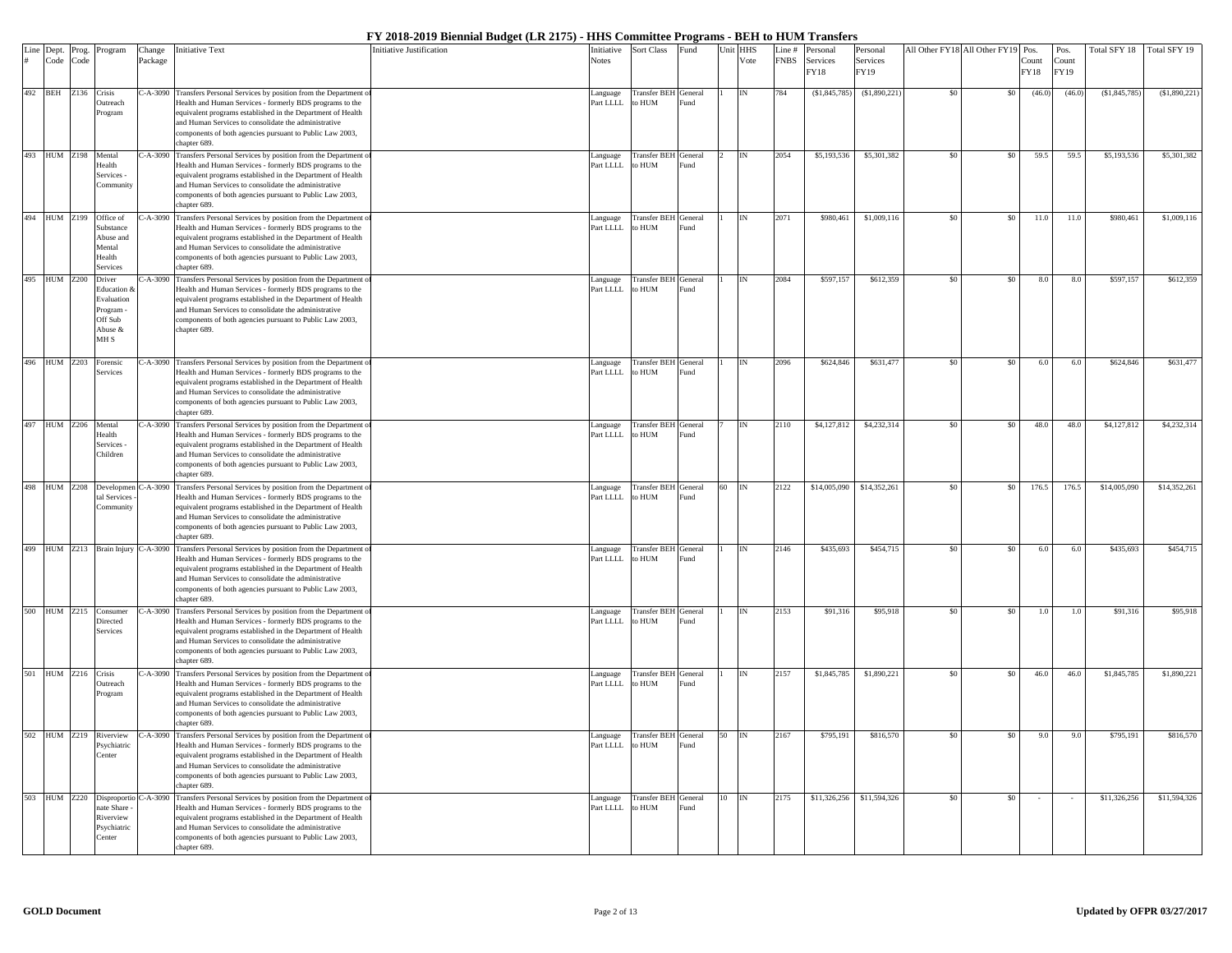|     | Line Dept.          | Prog. | Program                 | Change    | <b>Initiative Text</b>                                                                                                              | <b>Initiative Justification</b> | Initiative            | Sort Class                            | <sup>3</sup> und |    | Unit HHS | Line#       | Personal       | Personal                     |     | All Other FY18 All Other FY19 | Pos.   | Pos.   | Fotal SFY 18  | Total SFY 19 |
|-----|---------------------|-------|-------------------------|-----------|-------------------------------------------------------------------------------------------------------------------------------------|---------------------------------|-----------------------|---------------------------------------|------------------|----|----------|-------------|----------------|------------------------------|-----|-------------------------------|--------|--------|---------------|--------------|
|     | Code                | Code  |                         | Package   |                                                                                                                                     |                                 | <b>Notes</b>          |                                       |                  |    | Vote     | <b>FNBS</b> | Services       | Services                     |     |                               | Count  | Count  |               |              |
|     |                     |       |                         |           |                                                                                                                                     |                                 |                       |                                       |                  |    |          |             | FY18           | FY19                         |     |                               | FY18   | FY19   |               |              |
|     | 492 BEH             | Z136  |                         |           | C-A-3090 Transfers Personal Services by position from the Department                                                                |                                 |                       |                                       |                  |    | IN       | 784         |                | \$1,890,221                  |     |                               |        | (46.0) |               | \$1,890,221  |
|     |                     |       | Crisis<br>Outreach      |           | Health and Human Services - formerly BDS programs to the                                                                            |                                 | Language<br>Part LLLL | <b>Transfer BEH</b> General<br>to HUM | Fund             |    |          |             | (S1, 845, 785) |                              |     | \$0                           | (46.0) |        | (\$1,845,785) |              |
|     |                     |       | Program                 |           | equivalent programs established in the Department of Health                                                                         |                                 |                       |                                       |                  |    |          |             |                |                              |     |                               |        |        |               |              |
|     |                     |       |                         |           | and Human Services to consolidate the administrative                                                                                |                                 |                       |                                       |                  |    |          |             |                |                              |     |                               |        |        |               |              |
|     |                     |       |                         |           | components of both agencies pursuant to Public Law 2003,                                                                            |                                 |                       |                                       |                  |    |          |             |                |                              |     |                               |        |        |               |              |
|     |                     |       |                         |           | chapter 689.                                                                                                                        |                                 |                       |                                       |                  |    |          |             |                |                              |     |                               |        |        |               |              |
|     | 493 HUM Z198        |       | Mental<br>Health        |           | C-A-3090 Transfers Personal Services by position from the Department of<br>Health and Human Services - formerly BDS programs to the |                                 | anguage<br>Part LLLL  | Transfer BEH General<br>o HUM         | und              |    |          | 2054        | \$5,193,536    | \$5,301,382                  | \$0 | \$0                           | 59.5   | 59.5   | \$5,193,536   | \$5,301,382  |
|     |                     |       | Services -              |           | equivalent programs established in the Department of Health                                                                         |                                 |                       |                                       |                  |    |          |             |                |                              |     |                               |        |        |               |              |
|     |                     |       | Communit                |           | and Human Services to consolidate the administrative                                                                                |                                 |                       |                                       |                  |    |          |             |                |                              |     |                               |        |        |               |              |
|     |                     |       |                         |           | components of both agencies pursuant to Public Law 2003,                                                                            |                                 |                       |                                       |                  |    |          |             |                |                              |     |                               |        |        |               |              |
|     |                     |       |                         |           | chapter 689.                                                                                                                        |                                 |                       |                                       |                  |    |          |             |                |                              |     |                               |        |        |               |              |
|     | 494 HUM Z199        |       | Office of               |           | 2-A-3090 Transfers Personal Services by position from the Department                                                                |                                 | anguage               | Transfer BEH General                  |                  |    |          | 2071        | \$980,461      | \$1,009,116                  |     | \$0                           | 11.0   | 11.0   | \$980,461     | \$1,009,116  |
|     |                     |       | substance               |           | Health and Human Services - formerly BDS programs to the<br>equivalent programs established in the Department of Health             |                                 | Part LLLL             | MUH o                                 | und <sup>2</sup> |    |          |             |                |                              |     |                               |        |        |               |              |
|     |                     |       | Abuse and<br>Mental     |           | and Human Services to consolidate the administrative                                                                                |                                 |                       |                                       |                  |    |          |             |                |                              |     |                               |        |        |               |              |
|     |                     |       | Health                  |           | components of both agencies pursuant to Public Law 2003,                                                                            |                                 |                       |                                       |                  |    |          |             |                |                              |     |                               |        |        |               |              |
|     |                     |       | Services                |           | chapter 689.                                                                                                                        |                                 |                       |                                       |                  |    |          |             |                |                              |     |                               |        |        |               |              |
|     | 495 HUM Z200        |       | Driver                  | $-A-3090$ | Transfers Personal Services by position from the Department of                                                                      |                                 | anguage               | <b>Transfer BEH</b> General           |                  |    |          | 2084        | \$597,157      | \$612,359                    |     | \$0                           | 8.0    | 8.0    | \$597,157     | \$612,359    |
|     |                     |       | ducation                |           | Health and Human Services - formerly BDS programs to the                                                                            |                                 | art LLLL              | o HUM                                 | und              |    |          |             |                |                              |     |                               |        |        |               |              |
|     |                     |       | Evaluation<br>Program - |           | equivalent programs established in the Department of Health<br>and Human Services to consolidate the administrative                 |                                 |                       |                                       |                  |    |          |             |                |                              |     |                               |        |        |               |              |
|     |                     |       | Off Sub                 |           | components of both agencies pursuant to Public Law 2003,                                                                            |                                 |                       |                                       |                  |    |          |             |                |                              |     |                               |        |        |               |              |
|     |                     |       | Abuse &                 |           | chapter 689.                                                                                                                        |                                 |                       |                                       |                  |    |          |             |                |                              |     |                               |        |        |               |              |
|     |                     |       | MH S                    |           |                                                                                                                                     |                                 |                       |                                       |                  |    |          |             |                |                              |     |                               |        |        |               |              |
|     |                     |       |                         |           |                                                                                                                                     |                                 |                       |                                       |                  |    |          |             |                |                              |     |                               |        |        |               |              |
|     | 496 HUM Z203        |       | Forensic                |           | C-A-3090 Transfers Personal Services by position from the Department of                                                             |                                 | anguage               | Transfer BEH General                  |                  |    | IN       | 2096        | \$624,846      | \$631,477                    | \$0 | \$0                           | 6.0    | 6.0    | \$624,846     | \$631,477    |
|     |                     |       | Services                |           | Health and Human Services - formerly BDS programs to the                                                                            |                                 | Part LLLL             | to HUM                                | Fund             |    |          |             |                |                              |     |                               |        |        |               |              |
|     |                     |       |                         |           | equivalent programs established in the Department of Health<br>and Human Services to consolidate the administrative                 |                                 |                       |                                       |                  |    |          |             |                |                              |     |                               |        |        |               |              |
|     |                     |       |                         |           | components of both agencies pursuant to Public Law 2003,                                                                            |                                 |                       |                                       |                  |    |          |             |                |                              |     |                               |        |        |               |              |
|     |                     |       |                         |           | chapter 689.                                                                                                                        |                                 |                       |                                       |                  |    |          |             |                |                              |     |                               |        |        |               |              |
|     | 497 HUM Z206 Mental |       |                         |           | C-A-3090 Transfers Personal Services by position from the Department of                                                             |                                 | anguage               | Transfer BEH General                  |                  |    | IN       | 2110        | \$4,127,812    | \$4,232,314                  | \$0 | \$0                           | 48.0   | 48.0   | \$4,127,812   | \$4,232,314  |
|     |                     |       | Health                  |           | Health and Human Services - formerly BDS programs to the                                                                            |                                 | Part LLLL             | to HUM                                | ind.             |    |          |             |                |                              |     |                               |        |        |               |              |
|     |                     |       | Services -              |           | equivalent programs established in the Department of Health                                                                         |                                 |                       |                                       |                  |    |          |             |                |                              |     |                               |        |        |               |              |
|     |                     |       | Children                |           | and Human Services to consolidate the administrative<br>components of both agencies pursuant to Public Law 2003,                    |                                 |                       |                                       |                  |    |          |             |                |                              |     |                               |        |        |               |              |
|     |                     |       |                         |           | chapter 689.                                                                                                                        |                                 |                       |                                       |                  |    |          |             |                |                              |     |                               |        |        |               |              |
| 498 | <b>HUM</b> Z208     |       | Developmer              |           | 2-A-3090 Transfers Personal Services by position from the Department of                                                             |                                 | Language              | Transfer BEH General                  |                  | 60 | IN       | 2122        |                | \$14,005,090    \$14,352,261 | \$0 | \$0                           | 176.5  | 176.5  | \$14,005,090  | \$14,352,261 |
|     |                     |       | tal Services            |           | Health and Human Services - formerly BDS programs to the                                                                            |                                 | Part LLLL             | to HUM                                | Fund             |    |          |             |                |                              |     |                               |        |        |               |              |
|     |                     |       |                         |           | equivalent programs established in the Department of Health                                                                         |                                 |                       |                                       |                  |    |          |             |                |                              |     |                               |        |        |               |              |
|     |                     |       |                         |           | and Human Services to consolidate the administrative                                                                                |                                 |                       |                                       |                  |    |          |             |                |                              |     |                               |        |        |               |              |
|     |                     |       |                         |           | components of both agencies pursuant to Public Law 2003,<br>chapter 689.                                                            |                                 |                       |                                       |                  |    |          |             |                |                              |     |                               |        |        |               |              |
|     | 499 HUM Z213        |       |                         |           | Brain Injury C-A-3090 Transfers Personal Services by position from the Department of                                                |                                 | Language              | <b>Transfer BEH</b> General           |                  |    |          | 2146        | \$435,693      | \$454,715                    |     | \$0                           | 6.0    | 6.0    | \$435,693     | \$454,715    |
|     |                     |       |                         |           | Health and Human Services - formerly BDS programs to the                                                                            |                                 | Part LLLL.            | to HUM                                | ind.             |    |          |             |                |                              |     |                               |        |        |               |              |
|     |                     |       |                         |           | equivalent programs established in the Department of Health                                                                         |                                 |                       |                                       |                  |    |          |             |                |                              |     |                               |        |        |               |              |
|     |                     |       |                         |           | and Human Services to consolidate the administrative                                                                                |                                 |                       |                                       |                  |    |          |             |                |                              |     |                               |        |        |               |              |
|     |                     |       |                         |           | components of both agencies pursuant to Public Law 2003,                                                                            |                                 |                       |                                       |                  |    |          |             |                |                              |     |                               |        |        |               |              |
|     |                     |       |                         |           | chapter 689.                                                                                                                        |                                 |                       |                                       |                  |    |          |             |                |                              | \$0 |                               |        |        |               |              |
|     | 500 HUM Z215        |       | Consumer<br>Directed    |           | C-A-3090 Transfers Personal Services by position from the Department of<br>Health and Human Services - formerly BDS programs to the |                                 | Language<br>Part LLLL | <b>Transfer BEH</b> General<br>to HUM | Fund             |    | IN       | 2153        | \$91,316       | \$95,918                     |     | \$0                           | 1.0    | 1.0    | \$91,316      | \$95,918     |
|     |                     |       | Services                |           | equivalent programs established in the Department of Health                                                                         |                                 |                       |                                       |                  |    |          |             |                |                              |     |                               |        |        |               |              |
|     |                     |       |                         |           | and Human Services to consolidate the administrative                                                                                |                                 |                       |                                       |                  |    |          |             |                |                              |     |                               |        |        |               |              |
|     |                     |       |                         |           | components of both agencies pursuant to Public Law 2003,                                                                            |                                 |                       |                                       |                  |    |          |             |                |                              |     |                               |        |        |               |              |
|     |                     |       |                         |           | chapter 689.                                                                                                                        |                                 |                       |                                       |                  |    |          |             |                |                              |     |                               |        |        |               |              |
|     | 501 HUM Z216 Crisis |       | <b>Dutreach</b>         |           | 2-A-3090 Transfers Personal Services by position from the Department of<br>Health and Human Services - formerly BDS programs to the |                                 | anguage<br>Part LLLL  | Transfer BEH General<br>to HUM        | und <sup>2</sup> |    | IN       | 2157        | \$1,845,785    | \$1,890,221                  | \$0 | S <sub>0</sub>                | 46.0   | 46.0   | \$1,845,785   | \$1,890,221  |
|     |                     |       | Program                 |           | equivalent programs established in the Department of Health                                                                         |                                 |                       |                                       |                  |    |          |             |                |                              |     |                               |        |        |               |              |
|     |                     |       |                         |           | and Human Services to consolidate the administrative                                                                                |                                 |                       |                                       |                  |    |          |             |                |                              |     |                               |        |        |               |              |
|     |                     |       |                         |           | components of both agencies pursuant to Public Law 2003,                                                                            |                                 |                       |                                       |                  |    |          |             |                |                              |     |                               |        |        |               |              |
|     |                     |       |                         |           | chapter 689.                                                                                                                        |                                 |                       |                                       |                  |    |          |             |                |                              |     |                               |        |        |               |              |
|     | 502 HUM Z219        |       | Riverview               |           | C-A-3090 Transfers Personal Services by position from the Department of                                                             |                                 | Language              | Transfer BEH General                  |                  | 50 | IN       | 2167        | \$795,191      | \$816,570                    | \$0 | \$0                           | 9.0    | 9.0    | \$795,191     | \$816,570    |
|     |                     |       | Psychiatric             |           | Health and Human Services - formerly BDS programs to the                                                                            |                                 | Part LLLL             | to HUM                                | Fund             |    |          |             |                |                              |     |                               |        |        |               |              |
|     |                     |       | <b>Center</b>           |           | equivalent programs established in the Department of Health<br>and Human Services to consolidate the administrative                 |                                 |                       |                                       |                  |    |          |             |                |                              |     |                               |        |        |               |              |
|     |                     |       |                         |           | components of both agencies pursuant to Public Law 2003,                                                                            |                                 |                       |                                       |                  |    |          |             |                |                              |     |                               |        |        |               |              |
|     |                     |       |                         |           | chapter 689.                                                                                                                        |                                 |                       |                                       |                  |    |          |             |                |                              |     |                               |        |        |               |              |
|     | 503 HUM Z220        |       | Disproportio            |           | C-A-3090 Transfers Personal Services by position from the Department o                                                              |                                 | anguage               | <b>Transfer BEH</b> General           |                  |    |          | 2175        |                | \$11,326,256 \$11,594,326    |     | \$0                           |        |        | \$11,326,256  | \$11,594,326 |
|     |                     |       | ate Share               |           | Health and Human Services - formerly BDS programs to the                                                                            |                                 | Part LLLL             | to HUM                                | und <sup>2</sup> |    |          |             |                |                              |     |                               |        |        |               |              |
|     |                     |       | Riverview               |           | equivalent programs established in the Department of Health                                                                         |                                 |                       |                                       |                  |    |          |             |                |                              |     |                               |        |        |               |              |
|     |                     |       | Psychiatric<br>Center   |           | and Human Services to consolidate the administrative<br>components of both agencies pursuant to Public Law 2003,                    |                                 |                       |                                       |                  |    |          |             |                |                              |     |                               |        |        |               |              |
|     |                     |       |                         |           | chapter 689.                                                                                                                        |                                 |                       |                                       |                  |    |          |             |                |                              |     |                               |        |        |               |              |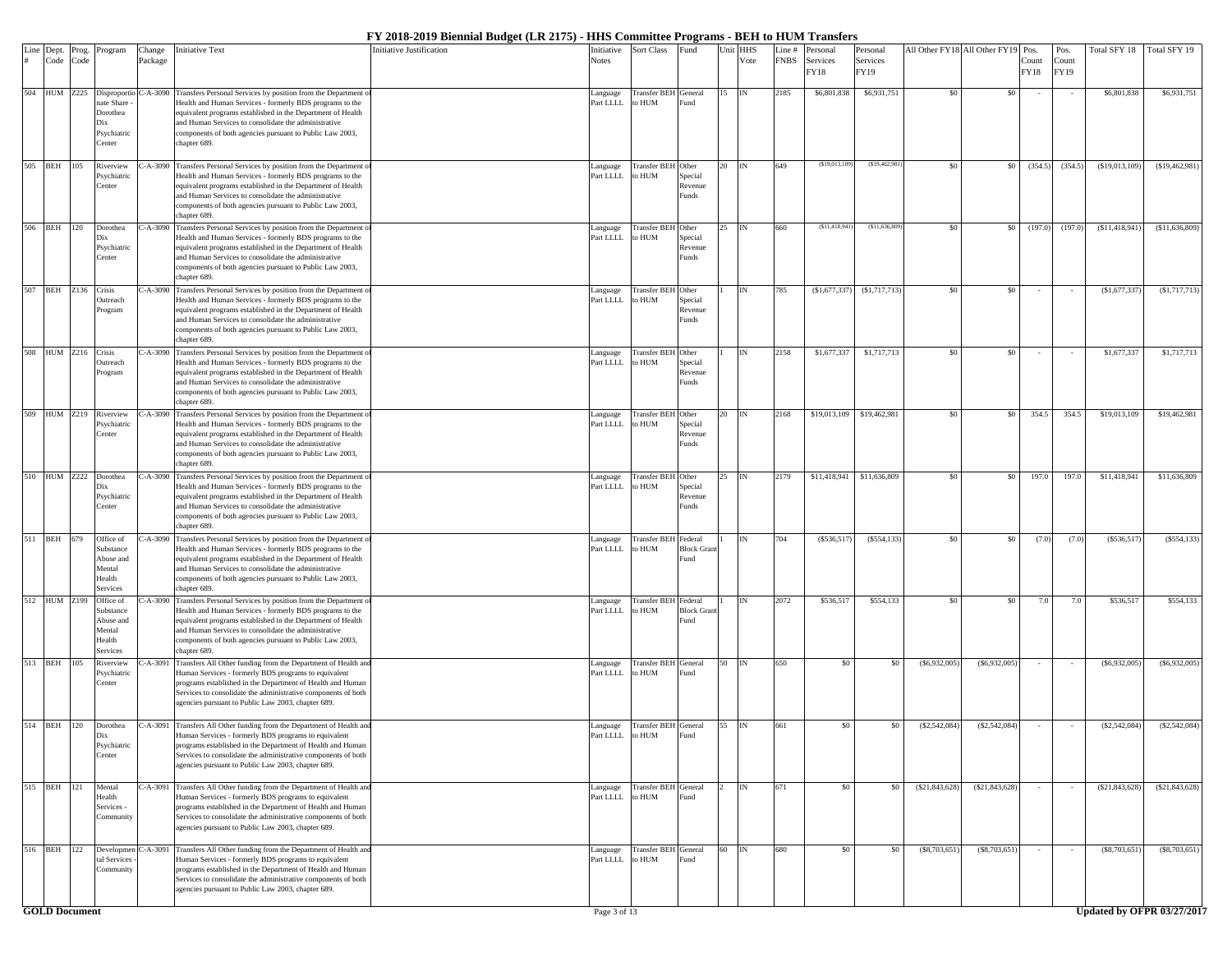| Line<br>#            | Dept.<br>Code | Prog.<br>Code | Program                                                                            | Change<br>Package | Initiative Text                                                                                                                                                                                                                                                                                                                     | Initiative Justification | Initiative<br><b>Notes</b> | Sort Class                          | und <sup>.</sup>                     | Unit | HHS<br>Vote | ine#<br><b>FNBS</b> | ersonal<br>Services<br>FY18 | Personal<br>Services<br>FY19 | All Other FY18 All Other FY19 Pos |                 | Count<br>FY18 | Pos.<br>Count<br>FY19 | Fotal SFY 18     | Total SFY 19               |
|----------------------|---------------|---------------|------------------------------------------------------------------------------------|-------------------|-------------------------------------------------------------------------------------------------------------------------------------------------------------------------------------------------------------------------------------------------------------------------------------------------------------------------------------|--------------------------|----------------------------|-------------------------------------|--------------------------------------|------|-------------|---------------------|-----------------------------|------------------------------|-----------------------------------|-----------------|---------------|-----------------------|------------------|----------------------------|
|                      |               |               | 504 HUM Z225 Disproportic<br>ate Share<br>Dorothea<br>Dix<br>Psychiatric<br>Center | $-A-3090$         | Transfers Personal Services by position from the Department of<br>Health and Human Services - formerly BDS programs to the<br>equivalent programs established in the Department of Health<br>and Human Services to consolidate the administrative<br>components of both agencies pursuant to Public Law 2003,<br>chapter 689.       |                          | Language<br>Part LLLL      | Transfer BEH General<br>to HUM      | und <sup>3</sup>                     |      | IN          | 2185                | \$6,801,838                 | \$6,931,751                  | \$0                               | \$0             |               |                       | \$6,801,838      | \$6,931,751                |
|                      | 505 BEH 105   |               | Riverview<br>Psychiatric<br>Center                                                 |                   | '-A-3090 Transfers Personal Services by position from the Department<br>Health and Human Services - formerly BDS programs to the<br>equivalent programs established in the Department of Health<br>and Human Services to consolidate the administrative<br>components of both agencies pursuant to Public Law 2003,<br>chapter 689. |                          | Language<br>Part LLLL      | <b>Transfer BEH</b> Other<br>to HUM | Special<br>Revenue<br>unds           |      | IN          | 649                 | (S19.013.10                 | (\$19,462,98)                | \$0                               | \$0             | (354.5)       | (354.5)               | (\$19,013,109)   | (S19, 462, 981)            |
|                      | 506 BEH 120   |               | Dorothea<br>Psychiatric<br>Center                                                  | $2-A-3090$        | Transfers Personal Services by position from the Department<br>Health and Human Services - formerly BDS programs to the<br>equivalent programs established in the Department of Health<br>and Human Services to consolidate the administrative<br>components of both agencies pursuant to Public Law 2003,<br>chapter 689.          |                          | Language<br>Part LLLL      | <b>Transfer BEI</b><br>o HUM        | Other<br>Special<br>Revenue<br>Funds |      | IN          | 660                 | (S11, 418, 941)             | (S11, 636, 809)              | \$0                               | \$0             | (197.0)       | (197.0)               | (S11, 418, 941)  | (S11, 636, 809)            |
|                      | 507 BEH Z136  |               | Crisis<br>Outreach<br>Program                                                      | $-A-3090$         | Transfers Personal Services by position from the Department<br>Health and Human Services - formerly BDS programs to the<br>equivalent programs established in the Department of Health<br>and Human Services to consolidate the administrative<br>components of both agencies pursuant to Public Law 2003,<br>chapter 689.          |                          | Language<br>Part LLLL      | <b>Transfer BEH</b><br>to HUM       | Other<br>Special<br>Revenue<br>unds  |      | ľΝ          | 785                 | (S1,677,337)                | (S1,717,713)                 | \$0                               | \$0             |               |                       | (S1, 677, 337)   | (\$1,717,713)              |
|                      | 508 HUM Z216  |               | Crisis<br>Outreach<br>Program                                                      | $-A-3090$         | Transfers Personal Services by position from the Department<br>Health and Human Services - formerly BDS programs to the<br>equivalent programs established in the Department of Health<br>and Human Services to consolidate the administrative<br>components of both agencies pursuant to Public Law 2003,<br>chapter 689.          |                          | Language<br>Part LLLL      | <b>Transfer BEH</b><br>to HUM       | Other<br>Special<br>Revenue<br>unds  |      |             | 2158                | \$1,677,337                 | \$1,717,713                  | \$0                               | \$0             |               |                       | \$1,677,337      | \$1,717,713                |
|                      | 509 HUM Z219  |               | Riverview<br><b>Psychiatric</b><br>Center                                          | $2-A-3090$        | Transfers Personal Services by position from the Department<br>Health and Human Services - formerly BDS programs to the<br>equivalent programs established in the Department of Health<br>and Human Services to consolidate the administrative<br>components of both agencies pursuant to Public Law 2003,<br>chapter 689.          |                          | Language<br>Part LLLL      | <b>Transfer BEH</b><br>o HUM        | Other<br>Special<br>Revenue<br>Funds |      | IN          | 2168                | \$19,013,109                | \$19,462,981                 | \$0                               | \$0             | 354.5         | 354.5                 | \$19,013,109     | \$19,462,981               |
|                      |               |               | 510 HUM Z222 Dorothea<br>Dix<br>Psychiatric<br>Center                              |                   | C-A-3090 Transfers Personal Services by position from the Department<br>Health and Human Services - formerly BDS programs to the<br>equivalent programs established in the Department of Health<br>and Human Services to consolidate the administrative<br>components of both agencies pursuant to Public Law 2003,<br>chapter 689. |                          | anguage<br>Part LLLL       | <b>Transfer BEH</b><br>to HUM       | Other<br>Special<br>Revenue<br>unds  |      | IN          | 2179                | \$11,418,941                | \$11,636,809                 | \$0                               | \$0             | 197.0         | 197.0                 | \$11,418,941     | \$11,636,809               |
|                      | 511 BEH 679   |               | Office of<br>Substance<br>Abuse and<br>Mental<br>Health<br>Services                | -A-3090           | Transfers Personal Services by position from the Department<br>Health and Human Services - formerly BDS programs to the<br>equivalent programs established in the Department of Health<br>and Human Services to consolidate the administrative<br>components of both agencies pursuant to Public Law 2003,<br>chapter 689.          |                          | Language<br>Part LLLL      | Transfer BEI<br>to HUM              | ederal<br><b>Block Grant</b><br>und  |      |             | 704                 | (S536, 517)                 | $($ \$554,133 $)$            | - \$0                             | \$0             | (7.0)         | (7.0)                 | (S536, 517)      | (\$554, 133)               |
|                      | 512 HUM Z199  |               | Office of<br>Substance<br>Abuse and<br>Mental<br>Health<br>Services                | $-A-3090$         | Transfers Personal Services by position from the Department<br>Health and Human Services - formerly BDS programs to the<br>equivalent programs established in the Department of Health<br>and Human Services to consolidate the administrative<br>components of both agencies pursuant to Public Law 2003,<br>chapter 689.          |                          | anguage<br>Part LLLL       | <b>Transfer BEI</b><br>o HUM        | ederal<br><b>Block Grant</b><br>und  |      | ľΝ          | 2072                | \$536,517                   | \$554,133                    | \$0                               | \$0             | 7.0           | 7.0                   | \$536,517        | \$554,133                  |
|                      | 513 BEH 105   |               | Riverview<br>Psychiatrie<br>Center                                                 |                   | '-A-3091 Transfers All Other funding from the Department of Health an<br>Human Services - formerly BDS programs to equivalent<br>programs established in the Department of Health and Human<br>Services to consolidate the administrative components of both<br>agencies pursuant to Public Law 2003, chapter 689.                  |                          | Language<br>Part LLLL      | <b>Transfer BEH</b><br>to HUM       | General<br>und <sup>3</sup>          | 50   | IN          | 650                 | \$0                         | \$0                          | (S6, 932, 005)                    | (S6,932,005)    |               |                       | $($ \$6,932,005) | (S6, 932, 005)             |
|                      | 514 BEH 120   |               | Dorothea<br>Dix<br>Psychiatric<br>Center                                           | -A-3091           | Transfers All Other funding from the Department of Health and<br>Human Services - formerly BDS programs to equivalent<br>programs established in the Department of Health and Human<br>Services to consolidate the administrative components of both<br>agencies pursuant to Public Law 2003, chapter 689.                          |                          | Language<br>Part LLLL      | Transfer BEH General<br>to HUM      | Fund                                 |      | IN          | 661                 | \$0                         | \$0                          | (S2, 542, 084)                    | (S2, 542, 084)  |               |                       | $(\$2,542,084)$  | (\$2,542,084)              |
|                      | 515 BEH 121   |               | Mental<br>Health<br>Services<br>Community                                          | $-A-3091$         | Transfers All Other funding from the Department of Health an<br>Human Services - formerly BDS programs to equivalent<br>programs established in the Department of Health and Human<br>Services to consolidate the administrative components of both<br>agencies pursuant to Public Law 2003, chapter 689.                           |                          | Language<br>Part LLLL      | Transfer BEH General<br>to HUM      | und                                  |      | IN          | 671                 | \$0                         | \$0                          | $(\$21,843,628)$                  | (S21, 843, 628) |               |                       | (S21, 843, 628)  | (\$21,843,628)             |
|                      | 516 BEH 122   |               | Developmer<br>tal Services<br>Community                                            | $-A-3091$         | Transfers All Other funding from the Department of Health and<br>Human Services - formerly BDS programs to equivalent<br>programs established in the Department of Health and Human<br>Services to consolidate the administrative components of both<br>agencies pursuant to Public Law 2003, chapter 689.                          |                          | Language<br>Part LLLL      | Transfer BEH General<br>to HUM      | Fund                                 | 60   | <b>IN</b>   | 680                 | \$0                         | \$0                          | (\$8,703,651                      | (S8, 703, 651)  |               |                       | $(\$8,703,651)$  | (\$8,703,651)              |
| <b>GOLD</b> Document |               |               |                                                                                    |                   |                                                                                                                                                                                                                                                                                                                                     |                          |                            |                                     |                                      |      |             |                     |                             |                              |                                   |                 |               |                       |                  | Updated by OFPR 03/27/2017 |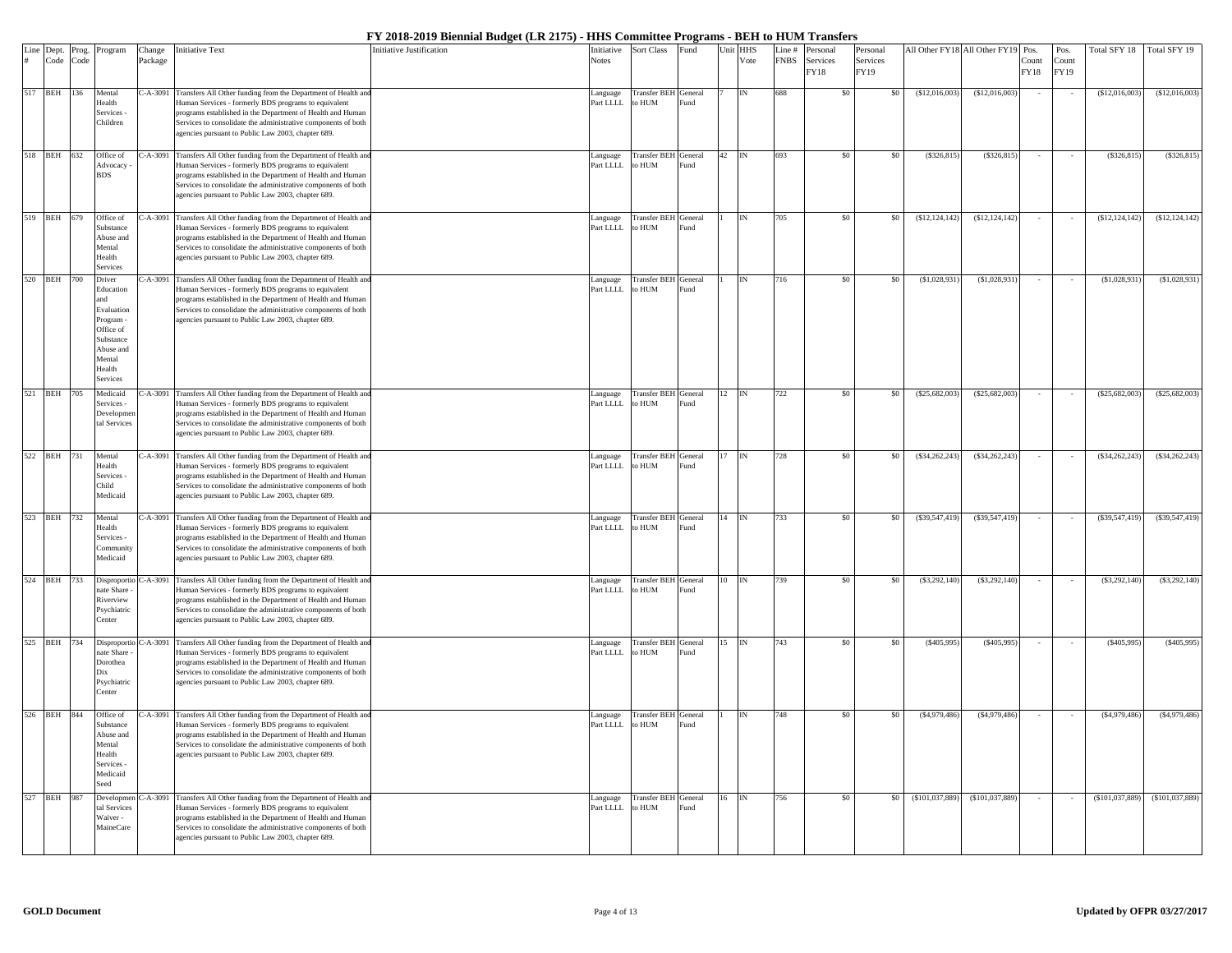| Line Dept.  | Prog. | Program                                                                                                               | Change  | <b>Initiative Text</b>                                                                                                                                                                                                                                                                                              | Initiative Justification | nitiative              | Sort Class                            | Fund |    | Unit HHS      | Line #      | Personal         | Personal         |                  | All Other FY18 All Other FY19 | Pos.          | Pos.                 | Total SFY 18     | Total SFY 19    |
|-------------|-------|-----------------------------------------------------------------------------------------------------------------------|---------|---------------------------------------------------------------------------------------------------------------------------------------------------------------------------------------------------------------------------------------------------------------------------------------------------------------------|--------------------------|------------------------|---------------------------------------|------|----|---------------|-------------|------------------|------------------|------------------|-------------------------------|---------------|----------------------|------------------|-----------------|
| Code        | Code  |                                                                                                                       | Package |                                                                                                                                                                                                                                                                                                                     |                          | <b>Notes</b>           |                                       |      |    | Vote          | <b>FNBS</b> | Services<br>FY18 | Services<br>FY19 |                  |                               | Count<br>FY18 | Count<br><b>FY19</b> |                  |                 |
| 517 BEH 136 |       | Mental<br>Health<br>Services<br>Children                                                                              |         | C-A-3091 Transfers All Other funding from the Department of Health an<br>Human Services - formerly BDS programs to equivalent<br>programs established in the Department of Health and Human<br>Services to consolidate the administrative components of both<br>agencies pursuant to Public Law 2003, chapter 689.  |                          | Language<br>Part LLLL  | Transfer BEH General<br>to HUM        | Fund |    |               | 688         | \$0              | \$0              | (\$12,016,003)   | (\$12,016,003]                |               |                      | (\$12,016,003)   | (\$12,016,003)  |
| 518 BEH 632 |       | Office of<br>Advocacy<br><b>BDS</b>                                                                                   |         | C-A-3091 Transfers All Other funding from the Department of Health and<br>Human Services - formerly BDS programs to equivalent<br>programs established in the Department of Health and Human<br>Services to consolidate the administrative components of both<br>agencies pursuant to Public Law 2003, chapter 689. |                          | anguage<br>Part LLLL   | Transfer BEH General<br>to HUM        | Fund | 42 |               | 693         | \$0              | \$0              | (S326, 815)      | (S326, 815)                   | $\sim$        |                      | (S326, 815)      | (\$326,815      |
| 519 BEH 679 |       | Office of<br>Substance<br>Abuse and<br>Mental<br>Health<br>Services                                                   |         | C-A-3091 Transfers All Other funding from the Department of Health an<br>Human Services - formerly BDS programs to equivalent<br>programs established in the Department of Health and Human<br>Services to consolidate the administrative components of both<br>agencies pursuant to Public Law 2003, chapter 689.  |                          | anguage<br>Part LLLL   | Transfer BEH General<br>to HUM        | Fund |    |               | 705         | \$0              | \$0              | (\$12,124,142)   | (S12, 124, 142)               |               |                      | (S12, 124, 142)  | (S12, 124, 142) |
| 520 BEH     | 700   | Driver<br>Education<br>Evaluation<br>Program -<br>Office of<br>Substance<br>Abuse and<br>Mental<br>Health<br>Services |         | C-A-3091 Transfers All Other funding from the Department of Health and<br>Human Services - formerly BDS programs to equivalent<br>programs established in the Department of Health and Human<br>Services to consolidate the administrative components of both<br>agencies pursuant to Public Law 2003, chapter 689. |                          | anguage<br>Part LLLL   | Transfer BEH General<br>to HUM        | Fund |    |               | 716         | \$0              | \$0              | ( \$1,028,931)   | (\$1,028,931                  |               |                      | (\$1,028,931)    | (\$1,028,931    |
| 521 BEH 705 |       | Medicaid<br>Services -<br>Developm<br>tal Services                                                                    |         | C-A-3091 Transfers All Other funding from the Department of Health and<br>Human Services - formerly BDS programs to equivalent<br>programs established in the Department of Health and Human<br>Services to consolidate the administrative components of both<br>agencies pursuant to Public Law 2003, chapter 689. |                          | anguage<br>Part LLLL   | Transfer BEH General<br>to HUM        | Fund | 12 | IN            | 722         | \$0              | \$0              | (\$25,682,003)   | $(\$25,682,003$               |               |                      | $(\$25,682,003)$ | (S25, 682, 003) |
| 522 BEH 731 |       | Mental<br>Health<br>Services -<br>Child<br>Medicaid                                                                   |         | C-A-3091 Transfers All Other funding from the Department of Health and<br>Human Services - formerly BDS programs to equivalent<br>programs established in the Department of Health and Human<br>Services to consolidate the administrative components of both<br>agencies pursuant to Public Law 2003, chapter 689. |                          | anguage<br>Part LLLL   | <b>Transfer BEH</b> General<br>to HUM | Fund | 17 | <b>IN</b>     | 728         | \$0              | \$0              | $(\$34,262,243)$ | $($ \$34,262,243)             |               |                      | $(\$34,262,243)$ | (\$34,262,243)  |
| 523 BEH 732 |       | Mental<br>Health<br>Services<br>Communi<br>Medicaid                                                                   |         | C-A-3091 Transfers All Other funding from the Department of Health and<br>Human Services - formerly BDS programs to equivalent<br>programs established in the Department of Health and Human<br>Services to consolidate the administrative components of both<br>agencies pursuant to Public Law 2003, chapter 689. |                          | anguage<br>Part LLLL   | Transfer BEH General<br>to HUM        | Fund |    |               | 733         | \$0              | \$0              | $(\$39,547,419)$ | (S39, 547, 419)               |               |                      | (S39, 547, 419)  | (\$39,547,419)  |
| 524 BEH 733 |       | Disproportio<br>ate Share<br>Riverview<br>Psychiatric<br>Center                                                       |         | 2-A-3091 Transfers All Other funding from the Department of Health and<br>Human Services - formerly BDS programs to equivalent<br>programs established in the Department of Health and Human<br>Services to consolidate the administrative components of both<br>agencies pursuant to Public Law 2003, chapter 689. |                          | anguage<br>Part LLLL   | Transfer BEH General<br>to HUM        | Fund | 10 |               | 739         | \$0              | \$0              | $(\$3,292,140)$  | (S3.292.140                   |               |                      | $($ \$3,292,140) | (\$3,292,140)   |
| 525 BEH 734 |       | Disproporti<br>iate Share<br>Dorothea<br>Dix<br>Psychiatric<br>Center                                                 |         | C-A-3091 Transfers All Other funding from the Department of Health an<br>Human Services - formerly BDS programs to equivalent<br>programs established in the Department of Health and Human<br>Services to consolidate the administrative components of both<br>agencies pursuant to Public Law 2003, chapter 689.  |                          | Language<br>Part LLLL. | Transfer BEH General<br>to HUM        | Fund | 15 | $\mathbb{IN}$ | 743         | \$0              | \$0              | (S405, 995)      | (S405,995)                    |               |                      | (S405,995)       | (\$405,995)     |
| 526 BEH 844 |       | Office of<br>Substance<br>Abuse and<br>Mental<br>Health<br>Services<br>Medicaid<br>Seed                               |         | C-A-3091 Transfers All Other funding from the Department of Health and<br>Human Services - formerly BDS programs to equivalent<br>programs established in the Department of Health and Human<br>Services to consolidate the administrative components of both<br>agencies pursuant to Public Law 2003, chapter 689. |                          | anguage<br>Part LLLL   | Transfer BEH General<br>to HUM        | Fund |    | <b>IN</b>     | 748         | \$0              | \$0              | ( \$4,979,486)   | (S4,979,486)                  |               |                      | (S4,979,486)     | (\$4,979,486)   |
| 527 BEH     | 987   | Developme<br>tal Services<br>Waiver-<br>MaineCare                                                                     |         | C-A-3091 Transfers All Other funding from the Department of Health an<br>Human Services - formerly BDS programs to equivalent<br>programs established in the Department of Health and Human<br>Services to consolidate the administrative components of both<br>agencies pursuant to Public Law 2003, chapter 689.  |                          | anguage<br>Part LLLL   | Transfer BEH General<br>to HUM        | Fund | 16 |               | 756         | \$0              | \$0              | (S101, 037, 889) | (\$101,037,889)               |               |                      | (\$101,037,889)  | (\$101,037,889) |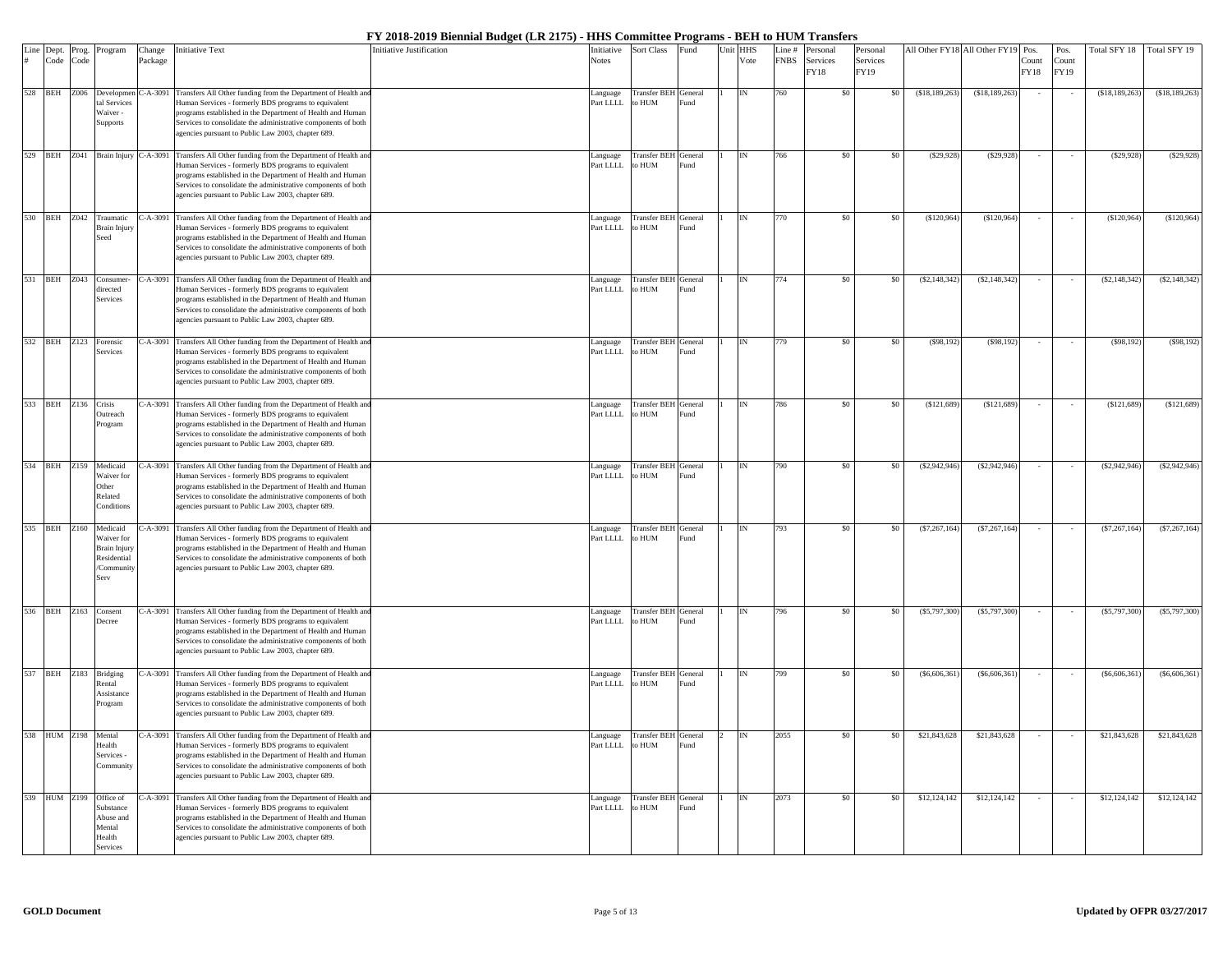| Line Dept.<br># Code | Prog.<br>Code | Program                                                                            | Change<br>Package | <b>Initiative Text</b>                                                                                                                                                                                                                                                                                              | <b>Initiative Justification</b> | Initiative<br><b>Notes</b> | Sort Class                              | Fund                        | Unit | <b>HHS</b><br>Vote | Line #<br><b>FNBS</b> | Personal<br>Services<br>FY18 | Personal<br>Services<br>FY19 |                | All Other FY18 All Other FY19 | Pos.<br>Count<br>FY18 | Pos.<br>Count<br><b>FY19</b> | Fotal SFY 18    | Total SFY 19    |
|----------------------|---------------|------------------------------------------------------------------------------------|-------------------|---------------------------------------------------------------------------------------------------------------------------------------------------------------------------------------------------------------------------------------------------------------------------------------------------------------------|---------------------------------|----------------------------|-----------------------------------------|-----------------------------|------|--------------------|-----------------------|------------------------------|------------------------------|----------------|-------------------------------|-----------------------|------------------------------|-----------------|-----------------|
| 528 BEH Z006         |               | Developmen<br>al Services<br>Waiver-<br>Supports                                   | $C-A-3091$        | Transfers All Other funding from the Department of Health and<br>Human Services - formerly BDS programs to equivalent<br>programs established in the Department of Health and Human<br>Services to consolidate the administrative components of both<br>agencies pursuant to Public Law 2003, chapter 689.          |                                 | Language<br>Part LLLL      | Transfer BEH General<br>to $\rm HUM$    | Fund                        |      |                    | 760                   | \$0                          | \$0                          | (\$18,189,263) | (\$18,189,263)                |                       |                              | (\$18,189,263)  | (\$18,189,263)  |
|                      |               | 529 BEH Z041 Brain Injury C-A-3091                                                 |                   | Transfers All Other funding from the Department of Health and<br>Human Services - formerly BDS programs to equivalent<br>programs established in the Department of Health and Human<br>Services to consolidate the administrative components of both<br>agencies pursuant to Public Law 2003, chapter 689.          |                                 | anguage<br>Part LLLL       | Transfer BEH<br>MUH <sub>c</sub>        | General<br>Fund             |      |                    | 766                   | \$0                          | -\$0                         | (S29.928)      | (S29.928)                     |                       |                              | (S29.928)       | (S29, 928)      |
| 530 BEH Z042         |               | Traumatic<br><b>Brain Injury</b><br>Seed                                           | $-A-3091$         | Transfers All Other funding from the Department of Health and<br>Human Services - formerly BDS programs to equivalent<br>programs established in the Department of Health and Human<br>Services to consolidate the administrative components of both<br>agencies pursuant to Public Law 2003, chapter 689.          |                                 | anguage<br>Part LLLL       | <b>Transfer BEH</b><br>o HUM            | General<br>Fund             |      |                    | 770                   | \$0                          |                              | (\$120,964)    | (S120, 964)                   |                       |                              | (S120, 964)     | (\$120,964)     |
| 531 BEH Z043         |               | Consumer<br>irected<br>Services                                                    | $-A-3091$         | Transfers All Other funding from the Department of Health and<br>Human Services - formerly BDS programs to equivalent<br>programs established in the Department of Health and Human<br>Services to consolidate the administrative components of both<br>agencies pursuant to Public Law 2003, chapter 689.          |                                 | anguage<br>Part LLLL       | <b>Transfer BEH</b><br>MUH <sub>c</sub> | General<br>und <sup>3</sup> |      |                    | 774                   | \$0                          | \$0                          | (S2, 148, 342) | (S2, 148, 342)                |                       |                              | (\$2,148,342)   | (\$2,148,342)   |
|                      |               | 532 BEH Z123 Forensic<br>Services                                                  | $C-A-3091$        | Transfers All Other funding from the Department of Health and<br>Human Services - formerly BDS programs to equivalent<br>programs established in the Department of Health and Human<br>Services to consolidate the administrative components of both<br>agencies pursuant to Public Law 2003, chapter 689.          |                                 | Language<br>Part LLLL      | Transfer BEH General<br>to HUM          | Fund                        |      |                    | 779                   | \$0                          | \$0                          | (S98, 192)     | (S98, 192)                    |                       |                              | $($ \$98,192)   | (S98, 192)      |
| 533 BEH Z136 Crisis  |               | <b>Dutreach</b><br>Program                                                         |                   | C-A-3091 Transfers All Other funding from the Department of Health and<br>Human Services - formerly BDS programs to equivalent<br>programs established in the Department of Health and Human<br>Services to consolidate the administrative components of both<br>agencies pursuant to Public Law 2003, chapter 689. |                                 | Language<br>Part LLLL      | <b>Transfer BEH</b><br><b>MUN</b>       | General<br>Fund             |      |                    | 786                   | \$0                          | \$0                          | (S121, 689)    | (S121, 689)                   |                       |                              | (S121, 689)     | (\$121,689)     |
|                      |               | 534 BEH Z159 Medicaid<br>Waiver for<br>Other<br>Related<br>Conditions              |                   | C-A-3091 Transfers All Other funding from the Department of Health and<br>Human Services - formerly BDS programs to equivalent<br>programs established in the Department of Health and Human<br>Services to consolidate the administrative components of both<br>agencies pursuant to Public Law 2003, chapter 689. |                                 | Language<br>Part LLLL      | Transfer BEH General<br>to HUM          | Fund                        |      |                    | 790                   | \$0                          | \$0                          | (\$2,942,946)  | (S2,942,946)                  |                       |                              | (\$2,942,946)   | (\$2,942,946)   |
| 535 BEH Z160         |               | Medicaid<br>Waiver for<br><b>Brain Injury</b><br>Residential<br>/Community<br>Serv | $-A-3091$         | Transfers All Other funding from the Department of Health and<br>Human Services - formerly BDS programs to equivalent<br>programs established in the Department of Health and Human<br>Services to consolidate the administrative components of both<br>agencies pursuant to Public Law 2003, chapter 689.          |                                 | Language<br>Part LLLL      | Transfer BEH General<br>MUH c           | <sup>2</sup> und            |      |                    | 793                   | \$0                          |                              | (\$7,267,164)  | (S7, 267, 164)                |                       |                              | (\$7,267,164)   | (\$7,267,164)   |
|                      |               | 536 BEH Z163 Consent<br>Decree                                                     | $-.A-3091$        | Transfers All Other funding from the Department of Health and<br>Human Services - formerly BDS programs to equivalent<br>programs established in the Department of Health and Human<br>Services to consolidate the administrative components of both<br>agencies pursuant to Public Law 2003, chapter 689.          |                                 | Language<br>Part LLLL      | Transfer BEH General<br>to HUM          | Fund                        |      |                    | 796                   | \$0                          | -\$0                         | (S5,797,300)   | (S5,797,300)                  |                       |                              | $(\$5,797,300)$ | (\$5,797,300]   |
|                      |               | 537 BEH Z183 Bridging<br>Rental<br>Assistance<br>Program                           |                   | C-A-3091 Transfers All Other funding from the Department of Health and<br>Human Services - formerly BDS programs to equivalent<br>programs established in the Department of Health and Human<br>Services to consolidate the administrative components of both<br>agencies pursuant to Public Law 2003, chapter 689. |                                 | Language<br>Part LLLL      | Transfer BEH General<br>to HUM          | Fund                        |      |                    | 799                   | \$0                          | \$0                          | (S6, 606, 361) | (S6, 606, 361)                |                       |                              | (S6, 606, 361)  | $($ \$6,606,361 |
| 538 HUM Z198         |               | Mental<br>Health<br>Services -<br>Communit                                         | $-A-3091$         | Transfers All Other funding from the Department of Health and<br>Human Services - formerly BDS programs to equivalent<br>programs established in the Department of Health and Human<br>Services to consolidate the administrative components of both<br>agencies pursuant to Public Law 2003, chapter 689.          |                                 | Language<br>Part LLLL      | Transfer BEH General<br>to HUM          | Fund                        |      |                    | 2055                  | \$0                          | \$0                          | \$21,843,628   | \$21,843,628                  |                       |                              | \$21,843,628    | \$21,843,628    |
|                      |               | 539 HUM Z199 Office of<br>Substance<br>Abuse and<br>Mental<br>Health<br>Services   |                   | -A-3091 Transfers All Other funding from the Department of Health and<br>Human Services - formerly BDS programs to equivalent<br>programs established in the Department of Health and Human<br>Services to consolidate the administrative components of both<br>agencies pursuant to Public Law 2003, chapter 689.  |                                 | Language<br>Part LLLL      | Transfer BEH General<br>to HUM          | Fund                        |      |                    | 2073                  | \$0                          | -\$0                         | \$12,124,142   | \$12,124,142                  |                       |                              | \$12,124,142    | \$12,124,142    |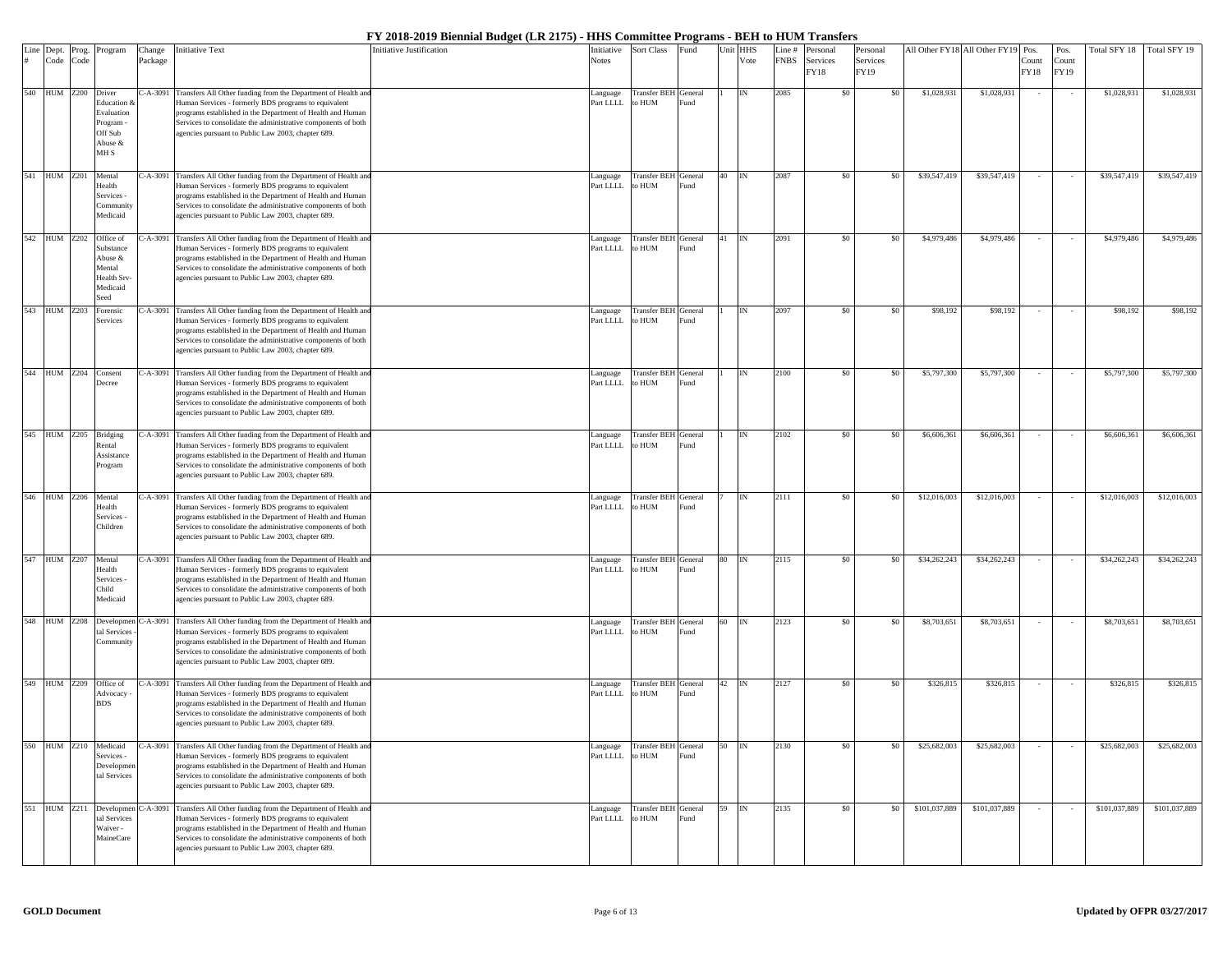| Line Dept. |                 | Prog. | Program                                                                       | Change     | <b>Initiative Text</b>                                                                                                                                                                                                                                                                                              | <b>Initiative Justification</b> | Initiative            | <b>Sort Class</b>                     | Fund                        | Unit HHS |               | Line#       | Personal         | Personal         | All Other FY18 All Other FY19 Pos. |               |               | Pos.          | Total SFY 18  | Total SFY 19  |
|------------|-----------------|-------|-------------------------------------------------------------------------------|------------|---------------------------------------------------------------------------------------------------------------------------------------------------------------------------------------------------------------------------------------------------------------------------------------------------------------------|---------------------------------|-----------------------|---------------------------------------|-----------------------------|----------|---------------|-------------|------------------|------------------|------------------------------------|---------------|---------------|---------------|---------------|---------------|
|            | Code            | Code  |                                                                               | Package    |                                                                                                                                                                                                                                                                                                                     |                                 | Notes                 |                                       |                             |          | Vote          | <b>FNBS</b> | Services<br>FY18 | Services<br>FY19 |                                    |               | Count<br>FY18 | Count<br>FY19 |               |               |
| 540        | <b>HUM Z200</b> |       | Driver<br>Education<br>Evaluation<br>Program -<br>Off Sub<br>Abuse &<br>MH S  | $C-A-3091$ | Transfers All Other funding from the Department of Health and<br>Human Services - formerly BDS programs to equivalent<br>programs established in the Department of Health and Human<br>Services to consolidate the administrative components of both<br>agencies pursuant to Public Law 2003, chapter 689.          |                                 | Language<br>Part LLLL | <b>Transfer BEH</b><br>o HUM          | General<br>und <sup>3</sup> |          | IN            | 2085        | \$0              | \$0              | \$1,028,931                        | \$1,028,931   |               |               | \$1,028,931   | \$1,028,931   |
| 541        | HUM Z201        |       | Mental<br>Health<br>Services -<br>Community<br>Medicaid                       | C-A-3091   | Transfers All Other funding from the Department of Health and<br>Human Services - formerly BDS programs to equivalent<br>programs established in the Department of Health and Human<br>Services to consolidate the administrative components of both<br>agencies pursuant to Public Law 2003, chapter 689.          |                                 | anguage<br>Part LLLL  | Transfer BEH General<br>o HUM         | und <sup>3</sup>            | 40       |               | 2087        | \$0              | \$0              | \$39,547,419                       | \$39,547,419  |               |               | \$39,547,419  | \$39,547,419  |
| 542        | <b>HUM</b> Z202 |       | Office of<br>Substance<br>Abuse &<br>Mental<br>Health Srv<br>Medicaid<br>Seed |            | C-A-3091 Transfers All Other funding from the Department of Health and<br>Human Services - formerly BDS programs to equivalent<br>programs established in the Department of Health and Human<br>Services to consolidate the administrative components of both<br>agencies pursuant to Public Law 2003, chapter 689. |                                 | Language<br>Part LLLL | Transfer BEH General<br>to HUM        | Fund                        | 41       | $\mathbb{IN}$ | 2091        | \$0              | \$0              | \$4,979,486                        | \$4,979,486   |               |               | \$4,979,486   | \$4,979,486   |
|            | 543 HUM Z203    |       | orensic<br>Services                                                           |            | C-A-3091 Transfers All Other funding from the Department of Health and<br>Human Services - formerly BDS programs to equivalent<br>programs established in the Department of Health and Human<br>Services to consolidate the administrative components of both<br>agencies pursuant to Public Law 2003, chapter 689. |                                 | anguage<br>Part LLLL  | Transfer BEH General<br>O HUM         | und <sup>3</sup>            |          | IN            | 2097        | \$0              | \$0              | \$98,192                           | \$98,192      |               |               | \$98,192      | \$98,192      |
|            | 544 HUM Z204    |       | Consent<br><b>Decree</b>                                                      | C-A-3091   | Transfers All Other funding from the Department of Health and<br>Human Services - formerly BDS programs to equivalent<br>programs established in the Department of Health and Human<br>Services to consolidate the administrative components of both<br>agencies pursuant to Public Law 2003, chapter 689.          |                                 | Language<br>Part LLLL | <b>Transfer BEH</b> General<br>o HUM  | und <sup>3</sup>            |          | IN            | 2100        | \$0              | \$0              | \$5,797,300                        | \$5,797,300   |               |               | \$5,797,300   | \$5,797,300   |
| 545        | HUM Z205        |       | Bridging<br>Rental<br>Assistance<br>Program                                   |            | C-A-3091 Transfers All Other funding from the Department of Health and<br>Human Services - formerly BDS programs to equivalent<br>programs established in the Department of Health and Human<br>Services to consolidate the administrative components of both<br>agencies pursuant to Public Law 2003, chapter 689. |                                 | anguage<br>Part LLLL  | Transfer BEH General<br>to HUM        | Fund                        |          |               | 2102        | \$0              | \$0              | \$6,606,36                         | \$6,606,361   |               |               | \$6,606,361   | \$6,606,361   |
|            | 546 HUM Z206    |       | Mental<br>Health<br>Services -<br>Children                                    |            | C-A-3091 Transfers All Other funding from the Department of Health and<br>Human Services - formerly BDS programs to equivalent<br>programs established in the Department of Health and Human<br>Services to consolidate the administrative components of both<br>agencies pursuant to Public Law 2003, chapter 689. |                                 | anguage<br>Part LLLL  | Transfer BEH General<br>O HUM         | ≀und                        |          | IN            | 2111        | \$0              | \$0              | \$12,016,003                       | \$12,016,003  |               |               | \$12,016,003  | \$12,016,003  |
|            | 547 HUM Z207    |       | Mental<br>Health<br>Services -<br>Child<br>Medicaid                           | $C-A-3091$ | Transfers All Other funding from the Department of Health and<br>Human Services - formerly BDS programs to equivalent<br>programs established in the Department of Health and Human<br>Services to consolidate the administrative components of both<br>agencies pursuant to Public Law 2003, chapter 689.          |                                 | Language<br>Part LLLL | Transfer BEH General<br>to HUM        | Fund                        | 80       | $\mathbb{IN}$ | 2115        | \$0              | \$0              | \$34,262,243                       | \$34,262,243  |               |               | \$34,262,243  | \$34,262,243  |
|            | <b>HUM Z208</b> |       | Developmen<br>tal Services<br>Community                                       |            | C-A-3091 Transfers All Other funding from the Department of Health and<br>Human Services - formerly BDS programs to equivalent<br>programs established in the Department of Health and Human<br>Services to consolidate the administrative components of both<br>agencies pursuant to Public Law 2003, chapter 689. |                                 | anguage<br>Part LLLL  | Transfer BEH General<br>to HUM        | Fund                        | 60       |               | 2123        | \$0              | \$0              | \$8,703,65                         | \$8,703,651   |               |               | \$8,703,651   | \$8,703,651   |
|            | 549 HUM Z209    |       | Office of<br>Advocacy<br><b>BDS</b>                                           |            | C-A-3091 Transfers All Other funding from the Department of Health and<br>Human Services - formerly BDS programs to equivalent<br>programs established in the Department of Health and Human<br>Services to consolidate the administrative components of both<br>agencies pursuant to Public Law 2003, chapter 689. |                                 | anguage<br>Part LLLL  | Transfer BEH General<br>o HUM         | ≀und                        | 42       | IN            | 2127        | \$0              | \$0              | \$326,815                          | \$326,815     |               |               | \$326,815     | \$326,815     |
| 550        | <b>HUM Z210</b> |       | Medicaid<br>Services -<br>Developme<br>tal Services                           |            | C-A-3091 Transfers All Other funding from the Department of Health and<br>Human Services - formerly BDS programs to equivalent<br>programs established in the Department of Health and Human<br>Services to consolidate the administrative components of both<br>agencies pursuant to Public Law 2003, chapter 689. |                                 | anguage<br>Part LLLL  | <b>Transfer BEH</b> General<br>o HUM  | Fund                        | 50       |               | 2130        | \$0              | \$0              | \$25,682,003                       | \$25,682,003  |               |               | \$25,682,003  | \$25,682,003  |
| 551        | HUM Z211        |       | Developmen<br>tal Services<br>Waiver -<br><b>MaineCare</b>                    |            | C-A-3091 Transfers All Other funding from the Department of Health and<br>Human Services - formerly BDS programs to equivalent<br>programs established in the Department of Health and Human<br>Services to consolidate the administrative components of both<br>agencies pursuant to Public Law 2003, chapter 689. |                                 | Language<br>Part LLLL | <b>Transfer BEH</b> General<br>to HUM | Fund                        | 59       | $\mathbb{IN}$ | 2135        | \$0              | \$0              | \$101,037,889                      | \$101,037,889 |               |               | \$101,037,889 | \$101,037,889 |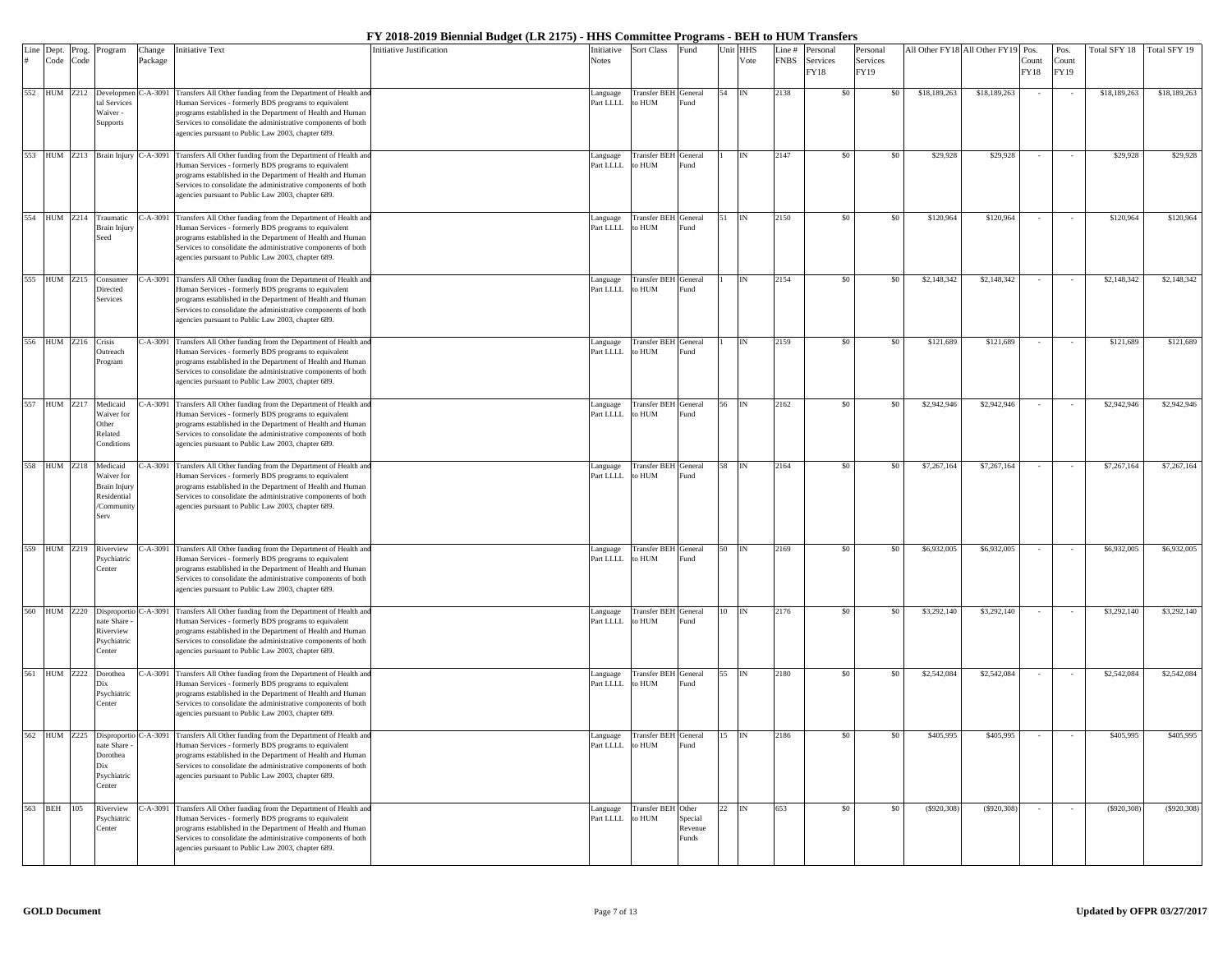| Line Dept.<br># Code | Prog.<br>Code | Program                                                                     | Change<br>Package | Initiative Text                                                                                                                                                                                                                                                                                                                               | Initiative Justification | nitiative<br>Notes   | Sort Class                           | Fund                        | Unit HHS | Vote          | Line#<br><b>FNBS</b> | Personal<br>Services<br>FY18 | Personal<br>Services<br>FY19 |              | All Other FY18 All Other FY19 Pos. | Count<br>FY18 | Pos.<br>Count<br>FY19 | otal SFY 18  | Total SFY 19 |
|----------------------|---------------|-----------------------------------------------------------------------------|-------------------|-----------------------------------------------------------------------------------------------------------------------------------------------------------------------------------------------------------------------------------------------------------------------------------------------------------------------------------------------|--------------------------|----------------------|--------------------------------------|-----------------------------|----------|---------------|----------------------|------------------------------|------------------------------|--------------|------------------------------------|---------------|-----------------------|--------------|--------------|
| 552 HUM Z212         |               | Developmen<br>tal Services<br>Waiver -<br>Supports                          | $C-A-3091$        | Transfers All Other funding from the Department of Health and<br>Human Services - formerly BDS programs to equivalent<br>programs established in the Department of Health and Human<br>Services to consolidate the administrative components of both<br>agencies pursuant to Public Law 2003, chapter 689.                                    |                          | anguage<br>Part LLLL | <b>Transfer BEH</b><br>o HUM         | General<br>und              | 54       | IN            | 2138                 | \$0                          | \$0                          | \$18,189,263 | \$18,189,263                       |               |                       | \$18,189,263 | \$18,189,263 |
|                      |               | 553 HUM Z213 Brain Injury                                                   | C-A-3091          | Transfers All Other funding from the Department of Health and<br>Human Services - formerly BDS programs to equivalent<br>programs established in the Department of Health and Human<br>Services to consolidate the administrative components of both<br>agencies pursuant to Public Law 2003, chapter 689.                                    |                          | anguage<br>Part LLLL | Transfer BEH<br>o HUM                | General<br>und <sup>3</sup> |          |               | 2147                 | \$0                          | \$0                          | \$29,928     | \$29,928                           |               |                       | \$29,928     | \$29,928     |
| 554 HUM Z214         |               | Traumatic<br>Brain Injury<br>Seed                                           | $C-A-3091$        | Transfers All Other funding from the Department of Health and<br>Human Services - formerly BDS programs to equivalent<br>programs established in the Department of Health and Human<br>Services to consolidate the administrative components of both<br>agencies pursuant to Public Law 2003, chapter 689.                                    |                          | anguage<br>art LLLL  | Transfer BEH General<br>o HUM        | und                         | 51       | $\mathbb{IN}$ | 2150                 | \$0                          | \$0                          | \$120,964    | \$120,964                          |               |                       | \$120,964    | \$120,964    |
| 555 HUM Z215         |               | Consumer<br>Directed<br>Services                                            | $-.A-3091$        | Transfers All Other funding from the Department of Health and<br>Human Services - formerly BDS programs to equivalent<br>programs established in the Department of Health and Human<br>Services to consolidate the administrative components of both<br>agencies pursuant to Public Law 2003, chapter 689.                                    |                          | anguage<br>Part LLLL | <b>Transfer BEH</b> General<br>o HUM | <sup>7</sup> und            |          | IN            | 2154                 | \$0                          | \$0                          | \$2,148,342  | \$2,148,342                        |               | $\sim$                | \$2,148,342  | \$2,148,342  |
| 556 HUM Z216         |               | Crisis<br>Outreach<br>Program                                               |                   | C-A-3091 Transfers All Other funding from the Department of Health and<br>Human Services - formerly BDS programs to equivalent<br>programs established in the Department of Health and Human<br>Services to consolidate the administrative components of both<br>agencies pursuant to Public Law 2003, chapter 689.                           |                          | anguage<br>Part LLLL | Transfer BEH<br>o HUM                | General<br><sup>7</sup> und |          |               | 2159                 | \$0\$                        | \$0                          | \$121,689    | \$121,689                          |               |                       | \$121,689    | \$121,689    |
| 557 HUM Z217         |               | Medicaid<br>Waiver for<br>Other<br>Related<br>Conditions                    | C-A-3091          | Transfers All Other funding from the Department of Health and<br>Human Services - formerly BDS programs to equivalent<br>programs established in the Department of Health and Human<br>Services to consolidate the administrative components of both<br>agencies pursuant to Public Law 2003, chapter 689.                                    |                          | anguage<br>art LLLL  | <b>Transfer BEH</b> General<br>o HUM | und                         | 56       | IN            | 2162                 | \$0                          | \$0                          | \$2,942,946  | \$2,942,946                        |               |                       | \$2,942,946  | \$2,942,946  |
| 558 HUM Z218         |               | Medicaid<br>Waiver for<br>Brain Injury<br>Residential<br>/Community<br>Serv | $- A - 3091$      | Transfers All Other funding from the Department of Health and<br>Human Services - formerly BDS programs to equivalent<br>programs established in the Department of Health and Human<br>Services to consolidate the administrative components of both<br>agencies pursuant to Public Law 2003, chapter 689.                                    |                          | anguage<br>Part LLLL | <b>Transfer BEH</b> General<br>o HUM | <sup>7</sup> und            | 58       | $\mathbb{IN}$ | 2164                 | \$0                          | \$0                          | \$7,267,164  | \$7,267,164                        |               | $\sim$                | \$7,267,164  | \$7,267,164  |
| 559 HUM Z219         |               | Riverview<br>Psychiatric<br>Center                                          | $-A-3091$         | Transfers All Other funding from the Department of Health and<br>Human Services - formerly BDS programs to equivalent<br>programs established in the Department of Health and Human<br>Services to consolidate the administrative components of both<br>agencies pursuant to Public Law 2003, chapter 689.                                    |                          | anguage<br>Part LLLL | Transfer BEH General<br>o HUM        | <sup>7</sup> und            | 50       | IN            | 2169                 | \$0\$                        | \$0                          | \$6,932,005  | \$6,932,005                        |               |                       | \$6,932,005  | \$6,932,005  |
| 560 HUM Z220         |               | Disproportio<br>ate Share<br>Riverview<br>Psychiatric<br>Center             | $-A-3091$         | Transfers All Other funding from the Department of Health and<br>Human Services - formerly BDS programs to equivalent<br>programs established in the Department of Health and Human<br>Services to consolidate the administrative components of both<br>agencies pursuant to Public Law 2003, chapter 689.                                    |                          | anguage<br>Part LLLL | Transfer BEH General<br>o HUM        | <sup>7</sup> und            |          |               | 2176                 | \$0                          | \$0                          | \$3,292,140  | \$3,292,140                        |               |                       | \$3,292,140  | \$3,292,140  |
| 561 HUM Z222         |               | Dorothea<br>Dix<br>Psychiatric<br>Center                                    | $- A - 3091$      | Transfers All Other funding from the Department of Health and<br>Human Services - formerly BDS programs to equivalent<br>programs established in the Department of Health and Human<br>Services to consolidate the administrative components of both<br>agencies pursuant to Public Law 2003, chapter 689.                                    |                          | anguage<br>Part LLLL | Transfer BEH<br>o HUM                | General<br>-und             | 55       | IN            | 2180                 | \$0                          | \$0                          | \$2,542,084  | \$2,542,084                        |               |                       | \$2,542,084  | \$2,542,084  |
|                      |               | nate Share<br>Dorothea<br>Dix<br>Psychiatric<br>Center                      |                   | 562 HUM Z225 Disproportio C-A-3091 Transfers All Other funding from the Department of Health and<br>Human Services - formerly BDS programs to equivalent<br>programs established in the Department of Health and Human<br>Services to consolidate the administrative components of both<br>agencies pursuant to Public Law 2003, chapter 689. |                          | Part LLLL to HUM     | Language Transfer BEH General        | Fund                        | 15 IN    |               | 2186                 | \$0                          | \$0                          | \$405,995    | \$405,995                          |               |                       | \$405,995    | \$405,995    |
| 563 BEH              | 105           | Riverview<br>Psychiatric<br>Center                                          |                   | 2-A-3091 Transfers All Other funding from the Department of Health and<br>Human Services - formerly BDS programs to equivalent<br>programs established in the Department of Health and Human<br>Services to consolidate the administrative components of both<br>agencies pursuant to Public Law 2003, chapter 689.                           |                          | anguage<br>Part LLLL | Transfer BEH Other<br>to HUM         | Special<br>Revenue<br>unds  | 22       | IN            | 653                  | \$0                          | \$0                          | (\$920,308)  | (S920, 308)                        |               |                       | (S920, 308)  | (S920, 308)  |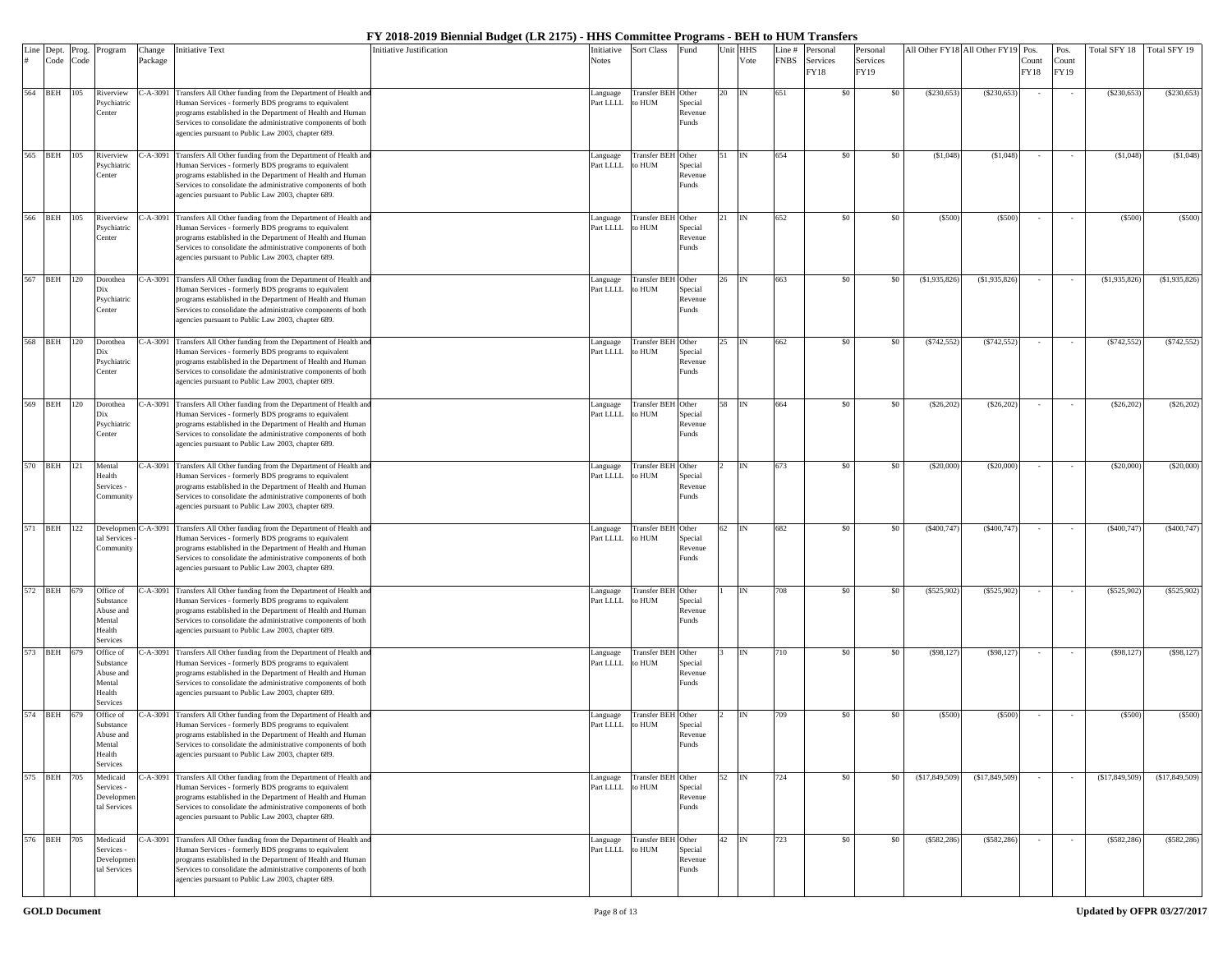| Line | Dept.       | Prog. | Program                   | Change     | Initiative Text                                                                                                               | Initiative Justification | Initiative            | Sort Class                    | ≀und               | Unit | <b>HHS</b> | Line #      | Personal         | Personal         |                | All Other FY18 All Other FY19 | Pos.          | Pos.          | Fotal SFY 18   | Total SFY 19   |
|------|-------------|-------|---------------------------|------------|-------------------------------------------------------------------------------------------------------------------------------|--------------------------|-----------------------|-------------------------------|--------------------|------|------------|-------------|------------------|------------------|----------------|-------------------------------|---------------|---------------|----------------|----------------|
|      | Code        | Code  |                           | Package    |                                                                                                                               |                          | <b>Notes</b>          |                               |                    |      | Vote       | <b>FNBS</b> | Services<br>FY18 | Services<br>FY19 |                |                               | Count<br>FY18 | Count<br>FY19 |                |                |
|      | 564 BEH 105 |       | Riverview                 |            | C-A-3091 Transfers All Other funding from the Department of Health and                                                        |                          | anguage               | Transfer BEH Other            |                    | 20   | IN         | 651         | \$0              | \$0              | (\$230,653     | (S230, 653)                   |               |               | (S230, 653)    | (\$230,653     |
|      |             |       | <b>Psychiatric</b>        |            | Human Services - formerly BDS programs to equivalent                                                                          |                          | Part LLLL             | o HUM                         | Special            |      |            |             |                  |                  |                |                               |               |               |                |                |
|      |             |       | Center                    |            | programs established in the Department of Health and Human                                                                    |                          |                       |                               | Revenue            |      |            |             |                  |                  |                |                               |               |               |                |                |
|      |             |       |                           |            | Services to consolidate the administrative components of both<br>agencies pursuant to Public Law 2003, chapter 689.           |                          |                       |                               | Funds              |      |            |             |                  |                  |                |                               |               |               |                |                |
| 565  | <b>BEH</b>  | 105   | liverview                 |            | C-A-3091 Transfers All Other funding from the Department of Health an                                                         |                          | anguage               | <b>Transfer BEH</b>           | Other              |      |            | 654         | \$0              | -80              | (S1,048)       | (S1,048)                      |               |               | (S1,048)       | (S1,048)       |
|      |             |       | <b>Psychiatric</b>        |            | Human Services - formerly BDS programs to equivalent                                                                          |                          | Part LLLL             | MUH o:                        | Special            |      |            |             |                  |                  |                |                               |               |               |                |                |
|      |             |       | Center                    |            | programs established in the Department of Health and Human                                                                    |                          |                       |                               | Revenue            |      |            |             |                  |                  |                |                               |               |               |                |                |
|      |             |       |                           |            | Services to consolidate the administrative components of both<br>agencies pursuant to Public Law 2003, chapter 689.           |                          |                       |                               | Funds              |      |            |             |                  |                  |                |                               |               |               |                |                |
| 566  | <b>BEH</b>  | 105   | Riverview                 | $C-A-3091$ | Transfers All Other funding from the Department of Health and                                                                 |                          | Language              | <b>Transfer BEI</b>           | Other              | 2.1  | IN         | 652         | \$0              | \$0              | (S500)         | (S500)                        |               |               | (S500)         | (S500)         |
|      |             |       | <b>Psychiatric</b>        |            | Human Services - formerly BDS programs to equivalent                                                                          |                          | Part LLLL             | to HUM                        | Special            |      |            |             |                  |                  |                |                               |               |               |                |                |
|      |             |       | <b>Center</b>             |            | programs established in the Department of Health and Human                                                                    |                          |                       |                               | levenue            |      |            |             |                  |                  |                |                               |               |               |                |                |
|      |             |       |                           |            | Services to consolidate the administrative components of both<br>agencies pursuant to Public Law 2003, chapter 689.           |                          |                       |                               | unds <sup>2</sup>  |      |            |             |                  |                  |                |                               |               |               |                |                |
|      | 567 BEH 120 |       | Dorothea                  |            | C-A-3091 Transfers All Other funding from the Department of Health and                                                        |                          | anguage               | Transfer BEH Other            |                    | 26   | IN         | 663         | \$0              | \$0              | (S1, 935, 826) | (S1, 935, 826)                |               |               | (\$1,935,826   | (\$1,935,826)  |
|      |             |       | Dix                       |            | Human Services - formerly BDS programs to equivalent                                                                          |                          | Part LLLL             | o HUM                         | Special            |      |            |             |                  |                  |                |                               |               |               |                |                |
|      |             |       | Psychiatric               |            | programs established in the Department of Health and Human                                                                    |                          |                       |                               | Revenue            |      |            |             |                  |                  |                |                               |               |               |                |                |
|      |             |       | Center                    |            | Services to consolidate the administrative components of both<br>agencies pursuant to Public Law 2003, chapter 689.           |                          |                       |                               | Funds              |      |            |             |                  |                  |                |                               |               |               |                |                |
|      |             |       |                           |            |                                                                                                                               |                          |                       |                               |                    |      |            |             |                  |                  |                |                               |               |               |                |                |
| 568  | <b>BEH</b>  | 120   | orothea<br>Dix            |            | C-A-3091 Transfers All Other funding from the Department of Health an<br>Human Services - formerly BDS programs to equivalent |                          | Language<br>Part LLLL | <b>Transfer BEH</b><br>to HUM | Other<br>Special   | 25   |            | 662         | \$0              | -80              | $(*742,552)$   | (S742, 552)                   |               |               | (S742, 552)    | (S742, 552)    |
|      |             |       | Psychiatric               |            | programs established in the Department of Health and Human                                                                    |                          |                       |                               | Revenue            |      |            |             |                  |                  |                |                               |               |               |                |                |
|      |             |       | Center                    |            | Services to consolidate the administrative components of both                                                                 |                          |                       |                               | Funds              |      |            |             |                  |                  |                |                               |               |               |                |                |
|      |             |       |                           |            | agencies pursuant to Public Law 2003, chapter 689.                                                                            |                          |                       |                               |                    |      |            |             |                  |                  |                |                               |               |               |                |                |
|      | 569 BEH 120 |       | Dorothea                  |            | C-A-3091 Transfers All Other funding from the Department of Health and                                                        |                          | Language              | <b>Transfer BEH</b> Other     |                    | 58   | IN         | 664         | \$0              | \$0              | (\$26,202      | (\$26,202                     |               |               | (\$26,202      | (\$26,202)     |
|      |             |       | Dix<br>Psychiatric        |            | Human Services - formerly BDS programs to equivalent<br>programs established in the Department of Health and Human            |                          | Part LLLL             | to HUM                        | Special<br>Revenue |      |            |             |                  |                  |                |                               |               |               |                |                |
|      |             |       | <b>Center</b>             |            | Services to consolidate the administrative components of both                                                                 |                          |                       |                               | unds <sup>2</sup>  |      |            |             |                  |                  |                |                               |               |               |                |                |
|      |             |       |                           |            | agencies pursuant to Public Law 2003, chapter 689.                                                                            |                          |                       |                               |                    |      |            |             |                  |                  |                |                               |               |               |                |                |
|      | 570 BEH 121 |       | Mental                    |            | C-A-3091 Transfers All Other funding from the Department of Health and                                                        |                          | anguage               | Transfer BEH Other            |                    |      | IN         | 673         | \$0              | \$0              | (S20,000)      | (\$20,000                     |               |               | (\$20,000      | (\$20,000)     |
|      |             |       | Health<br>Services -      |            | Human Services - formerly BDS programs to equivalent<br>programs established in the Department of Health and Human            |                          | Part LLLL             | o HUM                         | Special<br>Revenue |      |            |             |                  |                  |                |                               |               |               |                |                |
|      |             |       | Community                 |            | Services to consolidate the administrative components of both                                                                 |                          |                       |                               | Funds              |      |            |             |                  |                  |                |                               |               |               |                |                |
|      |             |       |                           |            | agencies pursuant to Public Law 2003, chapter 689.                                                                            |                          |                       |                               |                    |      |            |             |                  |                  |                |                               |               |               |                |                |
| 571  | <b>BEH</b>  | 122   | Developmen                |            | C-A-3091 Transfers All Other funding from the Department of Health and                                                        |                          | Language              | Transfer BEH Other            |                    | 62   | IN         | 682         | \$0              | -80              | (\$400,747)    | (\$400,747)                   |               |               | (S400, 747)    | (\$400,747)    |
|      |             |       | tal Services<br>Community |            | Human Services - formerly BDS programs to equivalent<br>programs established in the Department of Health and Human            |                          | Part LLLL             | MUH o:                        | Special<br>Revenue |      |            |             |                  |                  |                |                               |               |               |                |                |
|      |             |       |                           |            | Services to consolidate the administrative components of both                                                                 |                          |                       |                               | Funds              |      |            |             |                  |                  |                |                               |               |               |                |                |
|      |             |       |                           |            | agencies pursuant to Public Law 2003, chapter 689.                                                                            |                          |                       |                               |                    |      |            |             |                  |                  |                |                               |               |               |                |                |
|      | 572 BEH 679 |       | Office of                 | C-A-3091   | Transfers All Other funding from the Department of Health and                                                                 |                          | Language              | <b>Transfer BEH</b> Other     |                    |      | IN         | 708         | \$0              | \$0              | (S525, 902)    | (S525, 902)                   |               |               | (S525, 902)    | (\$525,902)    |
|      |             |       | Substance<br>Abuse and    |            | Human Services - formerly BDS programs to equivalent<br>programs established in the Department of Health and Human            |                          | Part LLLL             | to HUM                        | Special<br>Revenue |      |            |             |                  |                  |                |                               |               |               |                |                |
|      |             |       | Mental                    |            | Services to consolidate the administrative components of both                                                                 |                          |                       |                               | unds               |      |            |             |                  |                  |                |                               |               |               |                |                |
|      |             |       | Health<br>Services        |            | agencies pursuant to Public Law 2003, chapter 689.                                                                            |                          |                       |                               |                    |      |            |             |                  |                  |                |                               |               |               |                |                |
|      | 573 BEH 679 |       | Office of                 |            | C-A-3091 Transfers All Other funding from the Department of Health and                                                        |                          | anguage               | <b>Transfer BEH</b>           | Other              |      | IN         | 710         | \$0              | \$0              | (S98, 127)     | (\$98,127                     | $\sim$        | $\sim$        | (\$98,127      | (S98, 127)     |
|      |             |       | Substance<br>Abuse and    |            | Human Services - formerly BDS programs to equivalent<br>programs established in the Department of Health and Human            |                          | Part LLLL             | o HUM                         | Special<br>Revenue |      |            |             |                  |                  |                |                               |               |               |                |                |
|      |             |       | Mental                    |            | Services to consolidate the administrative components of both                                                                 |                          |                       |                               | Funds              |      |            |             |                  |                  |                |                               |               |               |                |                |
|      |             |       | Health<br>Services        |            | agencies pursuant to Public Law 2003, chapter 689.                                                                            |                          |                       |                               |                    |      |            |             |                  |                  |                |                               |               |               |                |                |
|      | 574 BEH     | 679   | Office of                 |            | C-A-3091 Transfers All Other funding from the Department of Health and                                                        |                          | Language              | Transfer BEH Other            |                    |      | IN         | 709         | \$0              | \$0              | (S500)         | (S500)                        |               |               | (S500)         | (S500)         |
|      |             |       | Substance<br>Abuse and    |            | Human Services - formerly BDS programs to equivalent<br>programs established in the Department of Health and Human            |                          | Part LLLL             | to HUM                        | Special<br>Revenue |      |            |             |                  |                  |                |                               |               |               |                |                |
|      |             |       | Mental                    |            | Services to consolidate the administrative components of both                                                                 |                          |                       |                               | unds <sup>2</sup>  |      |            |             |                  |                  |                |                               |               |               |                |                |
|      |             |       | Health<br>Services        |            | agencies pursuant to Public Law 2003, chapter 689.                                                                            |                          |                       |                               |                    |      |            |             |                  |                  |                |                               |               |               |                |                |
|      | 575 BEH 705 |       | Medicaid                  |            | C-A-3091 Transfers All Other funding from the Department of Health and                                                        |                          | Language              | Transfer BEH Other            |                    | 52   | <b>IN</b>  | 724         | \$0              | \$0              | (\$17,849,509) | (\$17,849,509)                |               |               | (\$17,849,509) | (\$17,849,509) |
|      |             |       | Services -                |            | Human Services - formerly BDS programs to equivalent<br>programs established in the Department of Health and Human            |                          | Part LLLL             | to HUM                        | Special            |      |            |             |                  |                  |                |                               |               |               |                |                |
|      |             |       | Developme<br>tal Services |            | Services to consolidate the administrative components of both                                                                 |                          |                       |                               | Revenue<br>unds    |      |            |             |                  |                  |                |                               |               |               |                |                |
|      |             |       |                           |            | agencies pursuant to Public Law 2003, chapter 689.                                                                            |                          |                       |                               |                    |      |            |             |                  |                  |                |                               |               |               |                |                |
|      | 576 BEH 705 |       | Medicaid                  |            | C-A-3091 Transfers All Other funding from the Department of Health and                                                        |                          | Language              | Transfer BEH Other            |                    | 42   | IN         | 723         | \$0              | \$0              | (\$582, 286    | (S582, 286)                   | $\sim$        | $\sim$        | (S582, 286)    | (\$582, 286)   |
|      |             |       | Services -<br>Developmer  |            | Human Services - formerly BDS programs to equivalent<br>programs established in the Department of Health and Human            |                          | Part LLLL             | o HUM                         | Special<br>Revenue |      |            |             |                  |                  |                |                               |               |               |                |                |
|      |             |       | tal Services              |            | Services to consolidate the administrative components of both                                                                 |                          |                       |                               | Funds              |      |            |             |                  |                  |                |                               |               |               |                |                |
|      |             |       |                           |            | agencies pursuant to Public Law 2003, chapter 689.                                                                            |                          |                       |                               |                    |      |            |             |                  |                  |                |                               |               |               |                |                |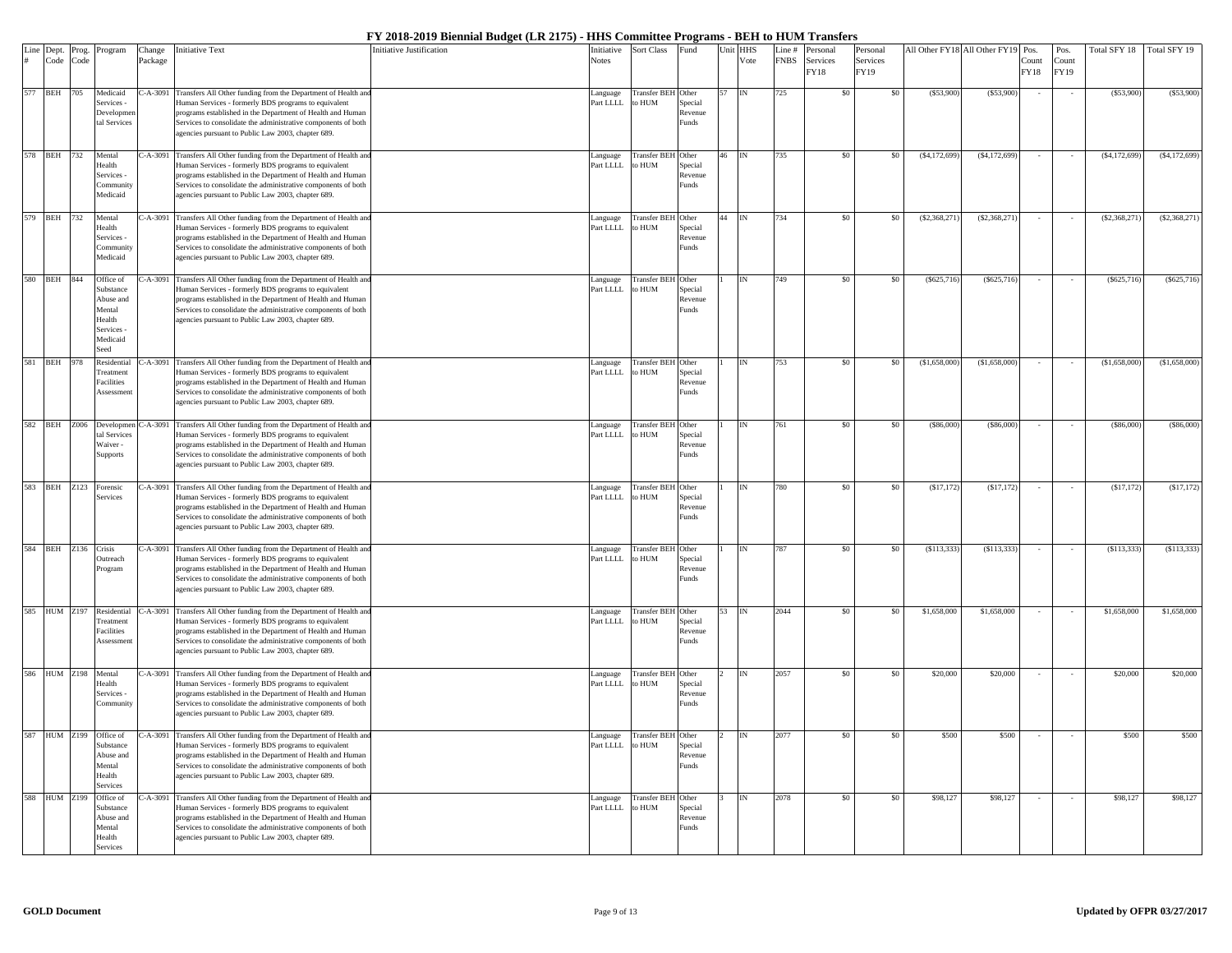|           | Dept.           | Prog. | Program                                                                                   | Change       | Initiative Text                                                                                                                                                                                                                                                                                                     | Initiative Justification | nitiative             | <b>Sort Class</b>            | Fund                                    | Unit HHS |           | Line #      | Personal                | Personal         |                | All Other FY18 All Other FY19 | Pos.                 | Pos.                 | Total SFY 18   | Total SFY 19   |
|-----------|-----------------|-------|-------------------------------------------------------------------------------------------|--------------|---------------------------------------------------------------------------------------------------------------------------------------------------------------------------------------------------------------------------------------------------------------------------------------------------------------------|--------------------------|-----------------------|------------------------------|-----------------------------------------|----------|-----------|-------------|-------------------------|------------------|----------------|-------------------------------|----------------------|----------------------|----------------|----------------|
| Line<br># | Code            | Code  |                                                                                           | Package      |                                                                                                                                                                                                                                                                                                                     |                          | <b>Notes</b>          |                              |                                         |          | Vote      | <b>FNBS</b> | Services<br><b>FY18</b> | Services<br>FY19 |                |                               | Count<br><b>FY18</b> | Count<br><b>FY19</b> |                |                |
| 577       | <b>BEH</b>      | 705   | Medicaid<br>Services -<br>Developm<br>tal Services                                        | $C-A-3091$   | Transfers All Other funding from the Department of Health an<br>Human Services - formerly BDS programs to equivalent<br>programs established in the Department of Health and Human<br>Services to consolidate the administrative components of both<br>agencies pursuant to Public Law 2003, chapter 689.           |                          | Language<br>Part LLLL | Transfer BEH Other<br>to HUM | Special<br>Revenue<br>Funds             | 57       | <b>IN</b> | 725         | \$0                     | \$0              | (S53,900)      | (S53,900)                     |                      |                      | (S53,900)      | (S53,900)      |
| 578       | <b>BEH</b> 732  |       | Mental<br>Health<br>Services<br>Communit<br>Medicaid                                      |              | C-A-3091 Transfers All Other funding from the Department of Health an<br>Human Services - formerly BDS programs to equivalent<br>programs established in the Department of Health and Human<br>Services to consolidate the administrative components of both<br>agencies pursuant to Public Law 2003, chapter 689.  |                          | anguage<br>Part LLLL  | Transfer BEH Other<br>to HUM | Special<br>Revenue<br>Funds             | 46       | <b>IN</b> | 735         | \$0                     | \$0              | (S4, 172, 699) | (S4, 172, 699)                |                      |                      | (S4, 172, 699) | (S4, 172, 699) |
|           | 579 BEH 732     |       | Mental<br>Health<br>Services<br>Communit<br>Medicaid                                      |              | C-A-3091 Transfers All Other funding from the Department of Health an<br>Human Services - formerly BDS programs to equivalent<br>programs established in the Department of Health and Humar<br>Services to consolidate the administrative components of both<br>agencies pursuant to Public Law 2003, chapter 689.  |                          | anguage<br>Part LLLL  | Transfer BEH Other<br>to HUM | Special<br>Revenue<br>Funds             | 44       | <b>IN</b> | 734         | \$0                     | \$0              | (S2, 368, 271) | (S2, 368, 271)                |                      |                      | (S2, 368, 271) | (\$2,368,271   |
| 580       | BEH             | 844   | Office of<br>Substance<br>Abuse and<br>Mental<br>Health<br>Services -<br>Medicaid<br>Seed | $- A - 3091$ | Transfers All Other funding from the Department of Health an<br>Human Services - formerly BDS programs to equivalent<br>programs established in the Department of Health and Human<br>Services to consolidate the administrative components of both<br>agencies pursuant to Public Law 2003, chapter 689.           |                          | anguage<br>Part LLLL  | Transfer BEH Other<br>o HUM  | Special<br>Revenue<br>Funds             |          |           | 749         | -SO                     |                  | (S625,716)     | (S625, 716)                   |                      |                      | (\$625.716     | (\$625,716     |
| 581       | <b>BEH</b>      | 978   | Residentia<br>Treatment<br><b>Facilities</b><br>Assessmer                                 | $- A - 3091$ | Transfers All Other funding from the Department of Health an<br>Human Services - formerly BDS programs to equivalent<br>programs established in the Department of Health and Human<br>Services to consolidate the administrative components of both<br>agencies pursuant to Public Law 2003, chapter 689.           |                          | anguage<br>Part LLLL  | Transfer BEH Other<br>to HUM | Special<br>Revenue<br>unds?             |          |           | 753         | \$0                     |                  | (S1,658,000)   | (S1,658,000)                  |                      |                      | (\$1,658,000   | (\$1,658,000   |
|           | 582 BEH Z006    |       | Developmer<br>tal Services<br>Waiver<br>Supports                                          | $C-A-3091$   | Transfers All Other funding from the Department of Health an<br>Human Services - formerly BDS programs to equivalent<br>programs established in the Department of Health and Human<br>Services to consolidate the administrative components of both<br>agencies pursuant to Public Law 2003, chapter 689.           |                          | anguage<br>Part LLLL  | Transfer BEH Other<br>o HUM  | Special<br>Revenue<br><sup>3</sup> unds |          | <b>IN</b> | 761         | \$0                     | -80              | (S86,000)      | (\$86,000)                    |                      |                      | (\$86,000      | (\$86,000      |
| 583       |                 |       | BEH Z123 Forensic<br>Services                                                             |              | C-A-3091 Transfers All Other funding from the Department of Health an<br>Human Services - formerly BDS programs to equivalent<br>programs established in the Department of Health and Human<br>Services to consolidate the administrative components of both<br>agencies pursuant to Public Law 2003, chapter 689.  |                          | anguage<br>Part LLLL  | Transfer BEH Other<br>to HUM | Special<br>Revenue<br>unds              |          |           | 780         | \$0                     | \$0              | (S17, 172)     | (\$17,172)                    |                      |                      | (S17, 172)     | (S17, 172)     |
| 584       | <b>BEH</b>      | Z136  | Crisis<br><b>Dutreach</b><br>rogram                                                       |              | C-A-3091 Transfers All Other funding from the Department of Health and<br>Human Services - formerly BDS programs to equivalent<br>programs established in the Department of Health and Human<br>Services to consolidate the administrative components of both<br>agencies pursuant to Public Law 2003, chapter 689. |                          | anguage<br>Part LLLL  | Transfer BEH Other<br>o HUM  | Special<br>Revenue<br><sup>3</sup> unds |          |           | 787         | \$0                     |                  | (S113, 333)    | (S113, 333)                   |                      |                      | (S113, 333)    | (S113, 333)    |
| 585       |                 |       | HUM Z197 Residential<br>Treatment<br><b>Facilities</b><br>Assessmen                       | $C-A-3091$   | Transfers All Other funding from the Department of Health an<br>Human Services - formerly BDS programs to equivalent<br>programs established in the Department of Health and Human<br>Services to consolidate the administrative components of both<br>agencies pursuant to Public Law 2003, chapter 689.           |                          | Language<br>Part LLLL | Transfer BEH Other<br>to HUM | Special<br>Revenue<br><sup>2</sup> unds | 53       | IN        | 2044        | \$0                     | \$0              | \$1,658,000    | \$1,658,000                   |                      |                      | \$1,658,000    | \$1,658,000    |
|           | 586 HUM Z198    |       | Mental<br>Health<br>Services<br>Community                                                 |              | C-A-3091 Transfers All Other funding from the Department of Health an<br>Human Services - formerly BDS programs to equivalent<br>programs established in the Department of Health and Human<br>Services to consolidate the administrative components of both<br>agencies pursuant to Public Law 2003, chapter 689.  |                          | Language<br>Part LLLL | Transfer BEH Other<br>to HUM | Special<br>Revenue<br>unds?             |          |           | 2057        | \$0                     | \$0              | \$20,000       | \$20,000                      |                      |                      | \$20,000       | \$20,000       |
| 587       | <b>HUM Z199</b> |       | Office of<br>Substance<br>Abuse and<br>Mental<br>Health<br>Services                       |              | C-A-3091 Transfers All Other funding from the Department of Health an<br>Human Services - formerly BDS programs to equivalent<br>programs established in the Department of Health and Human<br>Services to consolidate the administrative components of both<br>agencies pursuant to Public Law 2003, chapter 689.  |                          | anguage<br>Part LLLL  | Transfer BEH Other<br>to HUM | Special<br>Revenue<br>Funds             |          | IN        | 2077        | \$0                     | \$0              | \$500          | \$500                         |                      |                      | \$500          | \$500          |
| 588       | HUM Z199        |       | Office of<br>Substance<br>Abuse and<br>Mental<br>Health<br><b>Services</b>                | $-A-3091$    | Transfers All Other funding from the Department of Health and<br>Human Services - formerly BDS programs to equivalent<br>programs established in the Department of Health and Human<br>Services to consolidate the administrative components of both<br>agencies pursuant to Public Law 2003, chapter 689.          |                          | anguage<br>Part LLLL  | Transfer BEH Other<br>o HUM  | Special<br>Revenue<br><sup>2</sup> unds |          |           | 2078        | \$0                     | \$0              | \$98,127       | \$98,127                      |                      |                      | \$98,127       | \$98,127       |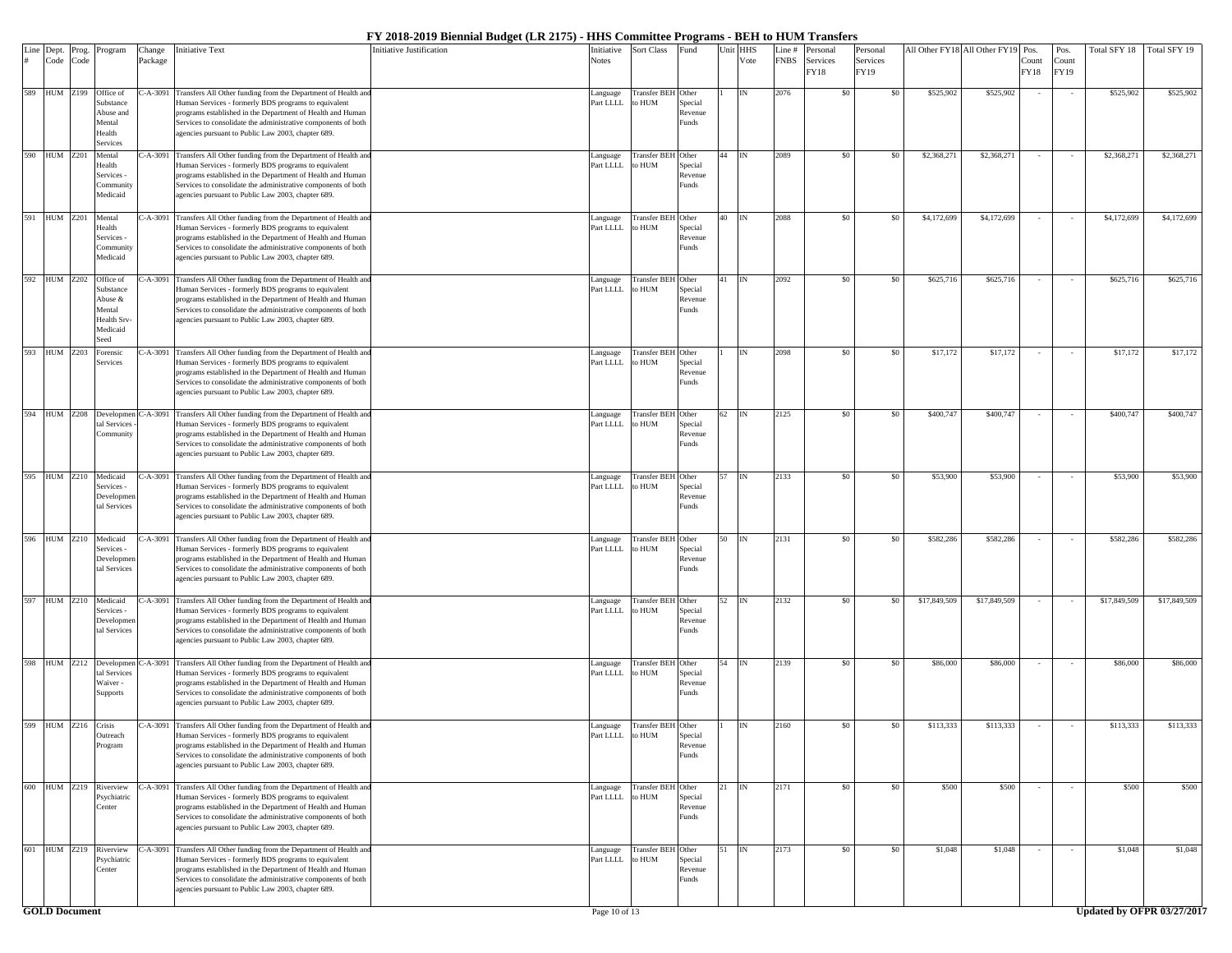| Line<br># | Dept.<br>Code        | Prog.<br>Code | Program                                                                        | Change<br>Package | Initiative Text                                                                                                                                                                                                                                                                                                     | Initiative Justification | Initiative<br>Notes   | Sort Class                          | Fund                                             | Jnit | HHS<br>Vote | Line #<br><b>FNBS</b> | Personal<br>Services<br>FY18 | Personal<br>Services<br>FY19 |              | All Other FY18 All Other FY19 Pos. | Count<br>FY18 | Pos.<br>Count<br>FY19 | Total SFY 18 | Total SFY 19               |
|-----------|----------------------|---------------|--------------------------------------------------------------------------------|-------------------|---------------------------------------------------------------------------------------------------------------------------------------------------------------------------------------------------------------------------------------------------------------------------------------------------------------------|--------------------------|-----------------------|-------------------------------------|--------------------------------------------------|------|-------------|-----------------------|------------------------------|------------------------------|--------------|------------------------------------|---------------|-----------------------|--------------|----------------------------|
|           | 589 HUM Z199         |               | Office of<br>Substance<br>Abuse and<br>Mental<br>Health<br>Services            | C-A-3091          | Transfers All Other funding from the Department of Health and<br>Human Services - formerly BDS programs to equivalent<br>programs established in the Department of Health and Human<br>Services to consolidate the administrative components of both<br>agencies pursuant to Public Law 2003, chapter 689.          |                          | Language<br>Part LLLL | <b>Transfer BEH</b><br>o HUM        | Other<br>Special<br>Revenue<br>Funds             |      |             | 2076                  | \$0                          | \$0                          | \$525,902    | \$525,902                          |               |                       | \$525,902    | \$525,902                  |
| 590       | <b>HUM Z201</b>      |               | Mental<br>Health<br>Services -<br>Communit<br>Medicaid                         |                   | C-A-3091 Transfers All Other funding from the Department of Health and<br>Human Services - formerly BDS programs to equivalent<br>programs established in the Department of Health and Human<br>Services to consolidate the administrative components of both<br>agencies pursuant to Public Law 2003, chapter 689. |                          | Language<br>Part LLLL | Transfer BEI<br>MUH o:              | Other<br>Special<br>Revenue<br>Funds             |      |             | 2089                  | \$0                          | \$0                          | \$2,368,271  | \$2,368,27                         |               |                       | \$2,368,271  | \$2,368,271                |
| 591       | <b>HUM Z201</b>      |               | Mental<br>Health<br>Services -<br>Community<br>Medicaid                        | C-A-3091          | Transfers All Other funding from the Department of Health and<br>Human Services - formerly BDS programs to equivalent<br>programs established in the Department of Health and Human<br>Services to consolidate the administrative components of both<br>agencies pursuant to Public Law 2003, chapter 689.          |                          | Language<br>Part LLLL | <b>Transfer BEH</b><br>o HUM        | Other<br>Special<br>Revenue<br>Funds             |      | IN          | 2088                  | \$0                          | \$0                          | \$4,172,699  | \$4,172,699                        |               |                       | \$4,172,699  | \$4,172,699                |
|           | 592 HUM Z202         |               | Office of<br>Substance<br>Abuse &<br>Mental<br>Health Srv-<br>Medicaid<br>Seed |                   | C-A-3091 Transfers All Other funding from the Department of Health and<br>Human Services - formerly BDS programs to equivalent<br>programs established in the Department of Health and Human<br>Services to consolidate the administrative components of both<br>agencies pursuant to Public Law 2003, chapter 689. |                          | anguage<br>Part LLLL  | <b>Transfer BEH</b><br>o HUM        | Other<br>Special<br>Revenue<br>Funds             |      |             | 2092                  | \$0                          | \$0                          | \$625,716    | \$625,716                          |               |                       | \$625,716    | \$625,716                  |
| 593       | HUM Z203             |               | Forensic<br>Services                                                           |                   | C-A-3091 Transfers All Other funding from the Department of Health and<br>Human Services - formerly BDS programs to equivalent<br>programs established in the Department of Health and Human<br>Services to consolidate the administrative components of both<br>agencies pursuant to Public Law 2003, chapter 689. |                          | Language<br>Part LLLL | Transfer BEH<br>o HUM               | Other<br>Special<br>Revenue<br>unds <sup>3</sup> |      |             | 2098                  | \$0                          | \$0                          | \$17,172     | \$17,172                           |               |                       | \$17,172     | \$17,172                   |
| 594       | <b>HUM Z208</b>      |               | Developmen<br>tal Services<br>Community                                        |                   | C-A-3091 Transfers All Other funding from the Department of Health and<br>Human Services - formerly BDS programs to equivalent<br>programs established in the Department of Health and Human<br>Services to consolidate the administrative components of both<br>agencies pursuant to Public Law 2003, chapter 689. |                          | anguage<br>Part LLLL  | <b>Transfer BEH</b><br>o HUM        | Other<br>Special<br>Revenue<br>Funds             |      |             | 2125                  | \$0                          | \$0                          | \$400,747    | \$400,747                          |               |                       | \$400,747    | \$400,747                  |
| 595       | <b>HUM Z210</b>      |               | Medicaid<br>Services -<br>Developme<br>tal Services                            | $C-A-3091$        | Transfers All Other funding from the Department of Health and<br>Human Services - formerly BDS programs to equivalent<br>programs established in the Department of Health and Human<br>Services to consolidate the administrative components of both<br>agencies pursuant to Public Law 2003, chapter 689.          |                          | Language<br>Part LLLL | Transfer BEH<br>o HUM               | Other<br>Special<br>Revenue<br>Funds             |      |             | 2133                  | \$0                          | \$0                          | \$53,900     | \$53,900                           | $\sim$        | $\sim$                | \$53,900     | \$53,900                   |
| 596       | HUM Z210             |               | Medicaid<br>Services -<br>Developme<br>tal Services                            |                   | C-A-3091 Transfers All Other funding from the Department of Health and<br>Human Services - formerly BDS programs to equivalent<br>programs established in the Department of Health and Human<br>Services to consolidate the administrative components of both<br>agencies pursuant to Public Law 2003, chapter 689. |                          | Language<br>Part LLLL | <b>Transfer BEH</b><br>o HUM        | Other<br>Special<br>Revenue<br>unds <sup>3</sup> |      |             | 2131                  | \$0                          | \$0                          | \$582,286    | \$582,286                          |               |                       | \$582,286    | \$582,286                  |
| 597       | HUM Z210             |               | Medicaid<br>Services -<br>Developme<br>tal Services                            |                   | C-A-3091 Transfers All Other funding from the Department of Health and<br>Human Services - formerly BDS programs to equivalent<br>programs established in the Department of Health and Human<br>Services to consolidate the administrative components of both<br>agencies pursuant to Public Law 2003, chapter 689. |                          | anguage<br>Part LLLL  | <b>Transfer BEH</b><br>o HUM        | Other<br>Special<br>Revenue<br>Funds             |      | IN          | 2132                  | \$0                          | \$0                          | \$17,849,509 | \$17,849,509                       |               |                       | \$17,849,509 | \$17,849,509               |
| 598       | <b>HUM</b> Z212      |               | Developmen<br>tal Services<br>Waiver-<br>Supports                              | $-.A-3091$        | Transfers All Other funding from the Department of Health and<br>Human Services - formerly BDS programs to equivalent<br>programs established in the Department of Health and Human<br>Services to consolidate the administrative components of both<br>agencies pursuant to Public Law 2003, chapter 689.          |                          | Language<br>Part LLLL | ransfer BEH<br>o HUM                | Other<br>Special<br>Revenue<br>Funds             |      |             | 2139                  | \$0                          | \$0                          | \$86,000     | \$86,000                           |               |                       | \$86,000     | \$86,000                   |
| 599       | HUM Z216 Crisis      |               | Outreach<br>Program                                                            |                   | C-A-3091 Transfers All Other funding from the Department of Health and<br>Human Services - formerly BDS programs to equivalent<br>programs established in the Department of Health and Human<br>Services to consolidate the administrative components of both<br>agencies pursuant to Public Law 2003, chapter 689. |                          | Language<br>Part LLLL | <b>Transfer BEH</b> Other<br>to HUM | Special<br>Revenue<br>unds <sup>3</sup>          |      |             | 2160                  | \$0                          | \$0                          | \$113,333    | \$113,333                          |               |                       | \$113,333    | \$113,333                  |
|           | 600 HUM Z219         |               | Riverview<br><b>Psychiatric</b><br>Center                                      |                   | C-A-3091 Transfers All Other funding from the Department of Health and<br>Human Services - formerly BDS programs to equivalent<br>programs established in the Department of Health and Human<br>Services to consolidate the administrative components of both<br>agencies pursuant to Public Law 2003, chapter 689. |                          | Language<br>Part LLLL | <b>Transfer BEH</b><br>o HUM        | Other<br>Special<br>Revenue<br>Funds             |      | IN          | 2171                  | \$0                          | \$0                          | \$500        | \$500                              |               |                       | \$500        | \$500                      |
|           | 601 HUM Z219         |               | Riverview<br>Psychiatric<br>Center                                             |                   | C-A-3091 Transfers All Other funding from the Department of Health and<br>Human Services - formerly BDS programs to equivalent<br>programs established in the Department of Health and Human<br>Services to consolidate the administrative components of both<br>agencies pursuant to Public Law 2003, chapter 689. |                          | Language<br>Part LLLL | <b>Transfer BEH</b><br>to HUM       | Other<br>Special<br>Revenue<br>Funds             |      | IN          | 2173                  | \$0                          | \$0                          | \$1,048      | \$1,048                            | $\sim$        | $\sim$                | \$1,048      | \$1,048                    |
|           | <b>GOLD Document</b> |               |                                                                                |                   |                                                                                                                                                                                                                                                                                                                     |                          | Page 10 of 13         |                                     |                                                  |      |             |                       |                              |                              |              |                                    |               |                       |              | Updated by OFPR 03/27/2017 |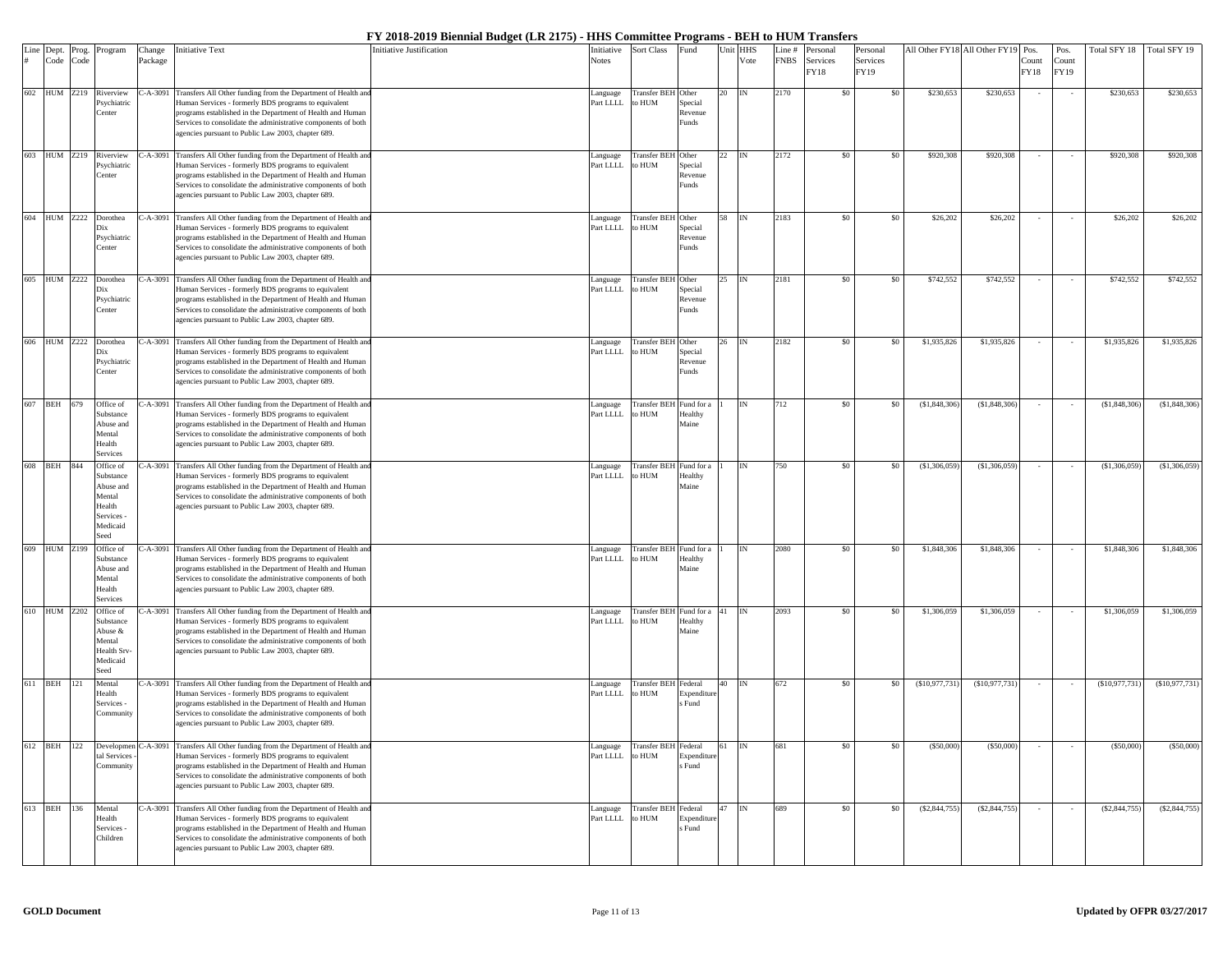|     | Line Dept.      | Prog. | Program                | Change    | <b>Initiative Text</b>                                                                                                         | Initiative Justification | Initiative            | <b>Sort Class</b>                 | Fund                  |    | Unit HHS                  | Line #      | Personal | Personal |                | All Other FY18 All Other FY19 | Pos.   | Pos.   | Total SFY 18 Total SFY 19 |                 |
|-----|-----------------|-------|------------------------|-----------|--------------------------------------------------------------------------------------------------------------------------------|--------------------------|-----------------------|-----------------------------------|-----------------------|----|---------------------------|-------------|----------|----------|----------------|-------------------------------|--------|--------|---------------------------|-----------------|
|     | Code            | Code  |                        | Package   |                                                                                                                                |                          | Notes                 |                                   |                       |    | Vote                      | <b>FNBS</b> | Services | Services |                |                               | Count  | Count  |                           |                 |
|     |                 |       |                        |           |                                                                                                                                |                          |                       |                                   |                       |    |                           |             | FY18     | FY19     |                |                               | FY18   | FY19   |                           |                 |
|     | 602 HUM Z219    |       | Riverview              |           | C-A-3091 Transfers All Other funding from the Department of Health an                                                          |                          |                       | Transfer BEH Other                |                       | 20 | <b>IN</b>                 | 2170        | \$0      | \$0      | \$230,653      | \$230,653                     |        |        | \$230,653                 | \$230,653       |
|     |                 |       | Psychiatric            |           | Human Services - formerly BDS programs to equivalent                                                                           |                          | anguage<br>Part LLLL  | to HUM                            | Special               |    |                           |             |          |          |                |                               |        |        |                           |                 |
|     |                 |       | Center                 |           | programs established in the Department of Health and Human                                                                     |                          |                       |                                   | Revenue               |    |                           |             |          |          |                |                               |        |        |                           |                 |
|     |                 |       |                        |           | Services to consolidate the administrative components of both                                                                  |                          |                       |                                   | Funds                 |    |                           |             |          |          |                |                               |        |        |                           |                 |
|     |                 |       |                        |           | agencies pursuant to Public Law 2003, chapter 689.                                                                             |                          |                       |                                   |                       |    |                           |             |          |          |                |                               |        |        |                           |                 |
| 603 | <b>HUM</b> Z219 |       | Riverview              |           | C-A-3091 Transfers All Other funding from the Department of Health and                                                         |                          | anguage               | Transfer BEH Other                |                       | 22 |                           | 2172        | \$0      | -\$0     | \$920,308      | \$920,308                     |        |        | \$920,308                 | \$920,308       |
|     |                 |       | Psychiatric            |           | Human Services - formerly BDS programs to equivalent                                                                           |                          | Part LLLL             | to HUM                            | Special               |    |                           |             |          |          |                |                               |        |        |                           |                 |
|     |                 |       | Center                 |           | programs established in the Department of Health and Human                                                                     |                          |                       |                                   | Revenue               |    |                           |             |          |          |                |                               |        |        |                           |                 |
|     |                 |       |                        |           | Services to consolidate the administrative components of both                                                                  |                          |                       |                                   | Funds                 |    |                           |             |          |          |                |                               |        |        |                           |                 |
|     |                 |       |                        |           | agencies pursuant to Public Law 2003, chapter 689.                                                                             |                          |                       |                                   |                       |    |                           |             |          |          |                |                               |        |        |                           |                 |
| 604 | HUM Z222        |       | Dorothea               |           | C-A-3091 Transfers All Other funding from the Department of Health an                                                          |                          | anguage               | <b>Transfer BEH</b>               | Other                 | 58 | IN                        | 2183        | \$0      | \$0      | \$26,202       | \$26,202                      |        | $\sim$ | \$26,202                  | \$26,202        |
|     |                 |       | Dix                    |           | Human Services - formerly BDS programs to equivalent                                                                           |                          | Part LLLL             | o HUM                             | Special               |    |                           |             |          |          |                |                               |        |        |                           |                 |
|     |                 |       | Psychiatric<br>Center  |           | programs established in the Department of Health and Human<br>Services to consolidate the administrative components of both    |                          |                       |                                   | Revenue<br>unds?      |    |                           |             |          |          |                |                               |        |        |                           |                 |
|     |                 |       |                        |           | agencies pursuant to Public Law 2003, chapter 689.                                                                             |                          |                       |                                   |                       |    |                           |             |          |          |                |                               |        |        |                           |                 |
|     |                 |       |                        |           |                                                                                                                                |                          |                       |                                   |                       |    |                           |             |          |          |                |                               |        |        |                           |                 |
|     | 605 HUM Z222    |       | Dorothea               |           | C-A-3091 Transfers All Other funding from the Department of Health an                                                          |                          | anguage               | Transfer BEH Other                |                       | 25 | IN                        | 2181        | \$0      | \$0      | \$742,552      | \$742,552                     |        |        | \$742,552                 | \$742,552       |
|     |                 |       | Dix                    |           | Human Services - formerly BDS programs to equivalent                                                                           |                          | Part LLLL             | to HUM                            | Special               |    |                           |             |          |          |                |                               |        |        |                           |                 |
|     |                 |       | Psychiatric<br>Center  |           | programs established in the Department of Health and Human<br>Services to consolidate the administrative components of both    |                          |                       |                                   | Revenue<br>Funds      |    |                           |             |          |          |                |                               |        |        |                           |                 |
|     |                 |       |                        |           | agencies pursuant to Public Law 2003, chapter 689.                                                                             |                          |                       |                                   |                       |    |                           |             |          |          |                |                               |        |        |                           |                 |
|     |                 |       |                        |           |                                                                                                                                |                          |                       |                                   |                       |    |                           |             |          |          |                |                               |        |        |                           |                 |
| 606 | HUM Z222        |       | Dorothea               |           | C-A-3091 Transfers All Other funding from the Department of Health and                                                         |                          | anguage               | Transfer BEH Other                |                       | 26 |                           | 2182        | \$0      | -\$0     | \$1,935,826    | \$1,935,826                   |        |        | \$1,935,826               | \$1,935,826     |
|     |                 |       | Dix<br>Psychiatric     |           | Human Services - formerly BDS programs to equivalent<br>programs established in the Department of Health and Human             |                          | Part LLLL             | to HUM                            | Special<br>Revenue    |    |                           |             |          |          |                |                               |        |        |                           |                 |
|     |                 |       | Center                 |           | Services to consolidate the administrative components of both                                                                  |                          |                       |                                   | Funds                 |    |                           |             |          |          |                |                               |        |        |                           |                 |
|     |                 |       |                        |           | agencies pursuant to Public Law 2003, chapter 689.                                                                             |                          |                       |                                   |                       |    |                           |             |          |          |                |                               |        |        |                           |                 |
|     |                 |       |                        |           |                                                                                                                                |                          |                       |                                   |                       |    |                           |             |          |          |                |                               |        |        |                           |                 |
| 607 | BEH 679         |       | Office of<br>Substance | $-A-3091$ | Transfers All Other funding from the Department of Health an<br>Human Services - formerly BDS programs to equivalent           |                          | Language<br>Part LLLL | Transfer BEH Fund for<br>o HUM    | Healthy               |    | <b>IN</b>                 | 712         | \$0      | -80      | (S1, 848, 306) | \$1,848,306                   |        |        | (\$1,848,306)             | \$1,848,306     |
|     |                 |       | Abuse and              |           | programs established in the Department of Health and Human                                                                     |                          |                       |                                   | Maine                 |    |                           |             |          |          |                |                               |        |        |                           |                 |
|     |                 |       | Mental                 |           | Services to consolidate the administrative components of both                                                                  |                          |                       |                                   |                       |    |                           |             |          |          |                |                               |        |        |                           |                 |
|     |                 |       | Health                 |           | agencies pursuant to Public Law 2003, chapter 689.                                                                             |                          |                       |                                   |                       |    |                           |             |          |          |                |                               |        |        |                           |                 |
|     | 608 BEH 844     |       | Services<br>Office of  |           | C-A-3091 Transfers All Other funding from the Department of Health an                                                          |                          |                       | Transfer BEH Fund for a           |                       |    | <b>IN</b>                 | 750         | \$0      | \$0      | (S1, 306, 059) | (S1, 306, 059)                |        |        | (\$1,306,059)             | (\$1,306,059)   |
|     |                 |       | Substance              |           | Human Services - formerly BDS programs to equivalent                                                                           |                          | anguage<br>Part LLLL  | to HUM                            | Healthy               |    |                           |             |          |          |                |                               |        |        |                           |                 |
|     |                 |       | Abuse and              |           | programs established in the Department of Health and Human                                                                     |                          |                       |                                   | Maine                 |    |                           |             |          |          |                |                               |        |        |                           |                 |
|     |                 |       | Mental                 |           | Services to consolidate the administrative components of both                                                                  |                          |                       |                                   |                       |    |                           |             |          |          |                |                               |        |        |                           |                 |
|     |                 |       | Health<br>Services -   |           | agencies pursuant to Public Law 2003, chapter 689.                                                                             |                          |                       |                                   |                       |    |                           |             |          |          |                |                               |        |        |                           |                 |
|     |                 |       | Medicaid               |           |                                                                                                                                |                          |                       |                                   |                       |    |                           |             |          |          |                |                               |        |        |                           |                 |
|     |                 |       | Seed                   |           |                                                                                                                                |                          |                       |                                   |                       |    |                           |             |          |          |                |                               |        |        |                           |                 |
|     | 609 HUM Z199    |       | Office of              |           | C-A-3091 Transfers All Other funding from the Department of Health and                                                         |                          | Language              | Transfer BEH Fund for a           |                       |    | <b>IN</b>                 | 2080        | \$0      | -80      | \$1,848,306    | \$1,848,306                   |        |        | \$1,848,306               | \$1,848,306     |
|     |                 |       | Substance<br>Abuse and |           | Human Services - formerly BDS programs to equivalent<br>programs established in the Department of Health and Human             |                          | Part LLLL             | to HUM                            | Healthy<br>Maine      |    |                           |             |          |          |                |                               |        |        |                           |                 |
|     |                 |       | Mental                 |           | Services to consolidate the administrative components of both                                                                  |                          |                       |                                   |                       |    |                           |             |          |          |                |                               |        |        |                           |                 |
|     |                 |       | Health                 |           | agencies pursuant to Public Law 2003, chapter 689.                                                                             |                          |                       |                                   |                       |    |                           |             |          |          |                |                               |        |        |                           |                 |
|     |                 |       | Services               |           |                                                                                                                                |                          |                       |                                   |                       |    |                           |             |          |          |                |                               |        |        |                           |                 |
|     | 610 HUM Z202    |       | Office of<br>Substance |           | C-A-3091 Transfers All Other funding from the Department of Health and<br>Human Services - formerly BDS programs to equivalent |                          | anguage<br>Part LLLL  | Transfer BEH Fund for a<br>to HUM | Healthy               |    |                           | 2093        | \$0      | \$0      | \$1,306,059    | \$1,306,059                   |        |        | \$1,306,059               | \$1,306,059     |
|     |                 |       | Abuse &                |           | programs established in the Department of Health and Human                                                                     |                          |                       |                                   | Maine                 |    |                           |             |          |          |                |                               |        |        |                           |                 |
|     |                 |       | Mental                 |           | Services to consolidate the administrative components of both                                                                  |                          |                       |                                   |                       |    |                           |             |          |          |                |                               |        |        |                           |                 |
|     |                 |       | Health Srv<br>Medicaid |           | agencies pursuant to Public Law 2003, chapter 689.                                                                             |                          |                       |                                   |                       |    |                           |             |          |          |                |                               |        |        |                           |                 |
|     |                 |       | Seed                   |           |                                                                                                                                |                          |                       |                                   |                       |    |                           |             |          |          |                |                               |        |        |                           |                 |
|     | 611 BEH 121     |       | Mental                 |           | C-A-3091 Transfers All Other funding from the Department of Health an                                                          |                          | anguage               | Transfer BEH Federal              |                       | 40 | <b>IN</b>                 | 672         | \$0      | \$0      | (\$10,977,731) | (\$10,977,731)                |        |        | (\$10,977,731)            | (S10, 977, 731) |
|     |                 |       | Health                 |           | Human Services - formerly BDS programs to equivalent                                                                           |                          | Part LLLL             | o HUM                             | Expenditur            |    |                           |             |          |          |                |                               |        |        |                           |                 |
|     |                 |       | <b>Services</b>        |           | programs established in the Department of Health and Human                                                                     |                          |                       |                                   | s Fund                |    |                           |             |          |          |                |                               |        |        |                           |                 |
|     |                 |       | Communit               |           | Services to consolidate the administrative components of both<br>agencies pursuant to Public Law 2003, chapter 689.            |                          |                       |                                   |                       |    |                           |             |          |          |                |                               |        |        |                           |                 |
|     |                 |       |                        |           |                                                                                                                                |                          |                       |                                   |                       |    |                           |             |          |          |                |                               |        |        |                           |                 |
|     | 612 BEH 122     |       |                        |           | Developmen C-A-3091 Transfers All Other funding from the Department of Health and                                              |                          | anguage               | Transfer BEH Federal              |                       | 61 | $\mathbb{I}^{\mathbb{N}}$ | 681         | \$0      | \$0      | (S50,000)      | (\$50,000)                    |        |        | (\$50,000)                | (\$50,000)      |
|     |                 |       | tal Services           |           | Human Services - formerly BDS programs to equivalent                                                                           |                          | Part LLLL             | to HUM                            | Expenditure           |    |                           |             |          |          |                |                               |        |        |                           |                 |
|     |                 |       | Community              |           | programs established in the Department of Health and Human<br>Services to consolidate the administrative components of both    |                          |                       |                                   | s Fund                |    |                           |             |          |          |                |                               |        |        |                           |                 |
|     |                 |       |                        |           | agencies pursuant to Public Law 2003, chapter 689.                                                                             |                          |                       |                                   |                       |    |                           |             |          |          |                |                               |        |        |                           |                 |
|     |                 |       |                        |           |                                                                                                                                |                          |                       |                                   |                       |    |                           |             |          |          |                |                               |        |        |                           |                 |
|     | 613 BEH 136     |       | Mental                 |           | C-A-3091 Transfers All Other funding from the Department of Health an                                                          |                          | Language              | <b>Transfer BEH Federal</b>       |                       | 47 | IN                        | 689         | \$0      | \$0      | (\$2,844,755)  | (S2, 844, 755)                | $\sim$ |        | (\$2,844,755)             | (\$2,844,755)   |
|     |                 |       | Health<br>Services -   |           | Human Services - formerly BDS programs to equivalent<br>programs established in the Department of Health and Human             |                          | Part LLLL             | to HUM                            | Expenditure<br>s Fund |    |                           |             |          |          |                |                               |        |        |                           |                 |
|     |                 |       | Children               |           | Services to consolidate the administrative components of both                                                                  |                          |                       |                                   |                       |    |                           |             |          |          |                |                               |        |        |                           |                 |
|     |                 |       |                        |           | agencies pursuant to Public Law 2003, chapter 689.                                                                             |                          |                       |                                   |                       |    |                           |             |          |          |                |                               |        |        |                           |                 |
|     |                 |       |                        |           |                                                                                                                                |                          |                       |                                   |                       |    |                           |             |          |          |                |                               |        |        |                           |                 |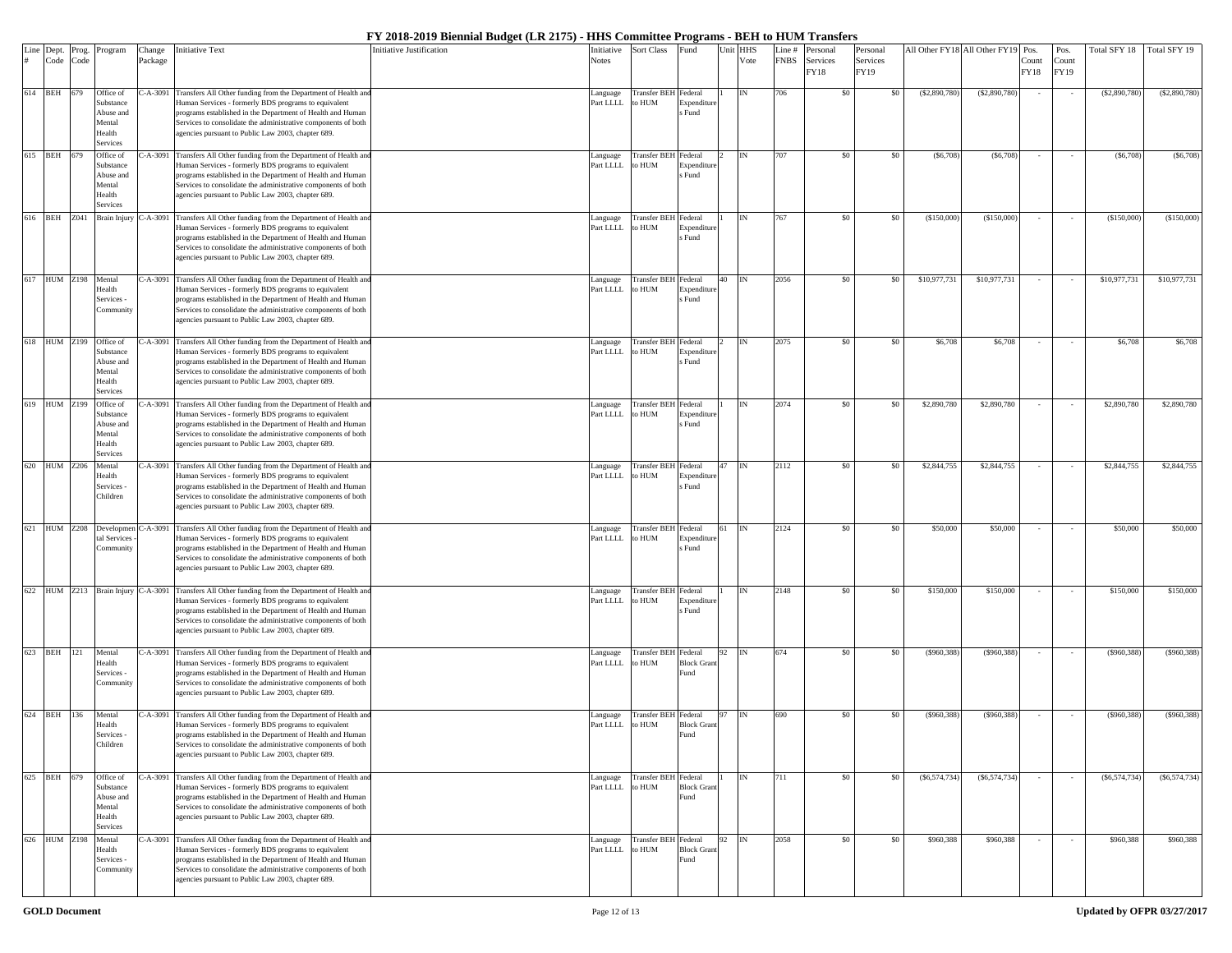|     | Line Dept.<br># Code | Prog. | Program                    | Change     | Initiative Text                                                                                                               | Initiative Justification | Initiative            | Sort Class                           | Fund                       | Unit | <b>HHS</b> | Line#       | Personal         | Personal         |                | All Other FY18 All Other FY19 | Pos.          | Pos.          | Total SFY 18   | Total SFY 19  |
|-----|----------------------|-------|----------------------------|------------|-------------------------------------------------------------------------------------------------------------------------------|--------------------------|-----------------------|--------------------------------------|----------------------------|------|------------|-------------|------------------|------------------|----------------|-------------------------------|---------------|---------------|----------------|---------------|
|     |                      | Code  |                            | Package    |                                                                                                                               |                          | Notes                 |                                      |                            |      | Vote       | <b>FNBS</b> | Services<br>FY18 | Services<br>FY19 |                |                               | Count<br>FY18 | Count<br>FY19 |                |               |
|     |                      |       |                            |            |                                                                                                                               |                          |                       |                                      |                            |      |            |             |                  |                  |                |                               |               |               |                |               |
|     | 614 BEH 679          |       | Office of<br>Substance     | $C-A-3091$ | Transfers All Other funding from the Department of Health an                                                                  |                          | Language<br>Part LLLL | Transfer BEH Federal<br>to HUM       |                            |      |            | 706         | \$0              | \$0              | (S2,890,780)   | (S2, 890, 780)                |               |               | (S2,890,780)   | (\$2,890,780) |
|     |                      |       | Abuse and                  |            | Human Services - formerly BDS programs to equivalent<br>programs established in the Department of Health and Human            |                          |                       |                                      | Expenditur<br>s Fund       |      |            |             |                  |                  |                |                               |               |               |                |               |
|     |                      |       | Mental                     |            | Services to consolidate the administrative components of both                                                                 |                          |                       |                                      |                            |      |            |             |                  |                  |                |                               |               |               |                |               |
|     |                      |       | Health<br>Services         |            | agencies pursuant to Public Law 2003, chapter 689.                                                                            |                          |                       |                                      |                            |      |            |             |                  |                  |                |                               |               |               |                |               |
| 615 | <b>BEH</b>           | 679   | Office of                  | C-A-3091   | Transfers All Other funding from the Department of Health and                                                                 |                          | Language              | Transfer BEH Federal                 |                            |      |            | 707         | \$0              | \$0              | (S6,708)       | (S6, 708)                     |               |               | (S6,708)       | (S6,708)      |
|     |                      |       | Substance<br>Abuse and     |            | Human Services - formerly BDS programs to equivalent<br>programs established in the Department of Health and Human            |                          | Part LLLL             | to HUM                               | Expenditur<br>s Fund       |      |            |             |                  |                  |                |                               |               |               |                |               |
|     |                      |       | Mental                     |            | Services to consolidate the administrative components of both                                                                 |                          |                       |                                      |                            |      |            |             |                  |                  |                |                               |               |               |                |               |
|     |                      |       | Health<br>Services         |            | agencies pursuant to Public Law 2003, chapter 689.                                                                            |                          |                       |                                      |                            |      |            |             |                  |                  |                |                               |               |               |                |               |
| 616 | <b>BEH</b>           | Z041  | <b>Brain Injury</b>        | $C-A-3091$ | Transfers All Other funding from the Department of Health an                                                                  |                          | Language              | Transfer BEH Federal                 |                            |      | <b>IN</b>  | 767         | \$0              | \$0              | (\$150,000     | (S150,000)                    |               |               | (S150,000)     | (\$150,000    |
|     |                      |       |                            |            | Human Services - formerly BDS programs to equivalent                                                                          |                          | Part LLLL             | o HUM                                | Expendit                   |      |            |             |                  |                  |                |                               |               |               |                |               |
|     |                      |       |                            |            | programs established in the Department of Health and Human<br>Services to consolidate the administrative components of both   |                          |                       |                                      | s Fund                     |      |            |             |                  |                  |                |                               |               |               |                |               |
|     |                      |       |                            |            | agencies pursuant to Public Law 2003, chapter 689.                                                                            |                          |                       |                                      |                            |      |            |             |                  |                  |                |                               |               |               |                |               |
|     | 617 HUM Z198         |       | Mental                     |            | C-A-3091 Transfers All Other funding from the Department of Health an                                                         |                          | Language              | Transfer BEH Federal                 |                            | 40   | <b>IN</b>  | 2056        | \$0              | \$0              | \$10,977,731   | \$10,977,731                  |               |               | \$10,977,731   | \$10,977,731  |
|     |                      |       | <b>Iealth</b>              |            | Human Services - formerly BDS programs to equivalent                                                                          |                          | Part LLLL             | o HUM                                | Expenditu                  |      |            |             |                  |                  |                |                               |               |               |                |               |
|     |                      |       | Services -<br>Community    |            | programs established in the Department of Health and Human<br>Services to consolidate the administrative components of both   |                          |                       |                                      | s Fund                     |      |            |             |                  |                  |                |                               |               |               |                |               |
|     |                      |       |                            |            | agencies pursuant to Public Law 2003, chapter 689.                                                                            |                          |                       |                                      |                            |      |            |             |                  |                  |                |                               |               |               |                |               |
| 618 |                      |       |                            |            |                                                                                                                               |                          |                       |                                      |                            |      |            |             |                  | \$0              |                |                               |               |               |                |               |
|     | HUM Z199             |       | Office of<br>Substance     | C-A-3091   | Transfers All Other funding from the Department of Health and<br>Human Services - formerly BDS programs to equivalent         |                          | Language<br>Part LLLL | Transfer BEH Federal<br>to HUM       | Expenditur                 |      |            | 2075        | \$0              |                  | \$6,708        | \$6,708                       |               |               | \$6,708        | \$6,708       |
|     |                      |       | Abuse and<br>Mental        |            | programs established in the Department of Health and Human                                                                    |                          |                       |                                      | s Fund                     |      |            |             |                  |                  |                |                               |               |               |                |               |
|     |                      |       | Health                     |            | Services to consolidate the administrative components of both<br>agencies pursuant to Public Law 2003, chapter 689.           |                          |                       |                                      |                            |      |            |             |                  |                  |                |                               |               |               |                |               |
|     |                      |       | Services                   |            |                                                                                                                               |                          |                       |                                      |                            |      |            |             |                  |                  |                |                               |               |               |                |               |
| 619 | <b>HUM</b> Z199      |       | Office of<br>Substance     | $C-A-3091$ | Transfers All Other funding from the Department of Health an<br>Human Services - formerly BDS programs to equivalent          |                          | Language<br>Part LLLL | <b>Transfer BEH</b> Federal<br>o HUM | Expenditi                  |      |            | 2074        | \$0              | \$0              | \$2,890,780    | \$2,890,780                   |               |               | \$2,890,780    | \$2,890,780   |
|     |                      |       | Abuse and                  |            | programs established in the Department of Health and Human                                                                    |                          |                       |                                      | Fund                       |      |            |             |                  |                  |                |                               |               |               |                |               |
|     |                      |       | Mental<br>Health           |            | Services to consolidate the administrative components of both<br>agencies pursuant to Public Law 2003, chapter 689.           |                          |                       |                                      |                            |      |            |             |                  |                  |                |                               |               |               |                |               |
|     |                      |       | Services                   |            |                                                                                                                               |                          |                       |                                      |                            |      |            |             |                  |                  |                |                               |               |               |                |               |
|     | 620 HUM Z206         |       | Mental<br>Health           |            | C-A-3091 Transfers All Other funding from the Department of Health an<br>Human Services - formerly BDS programs to equivalent |                          | Language<br>Part LLLL | Transfer BEH Federal<br>o HUM        | Expenditu                  | 47   |            | 2112        | \$0              | \$0              | \$2,844,755    | \$2,844,755                   |               |               | \$2,844,755    | \$2,844,755   |
|     |                      |       | Services -                 |            | programs established in the Department of Health and Human                                                                    |                          |                       |                                      | s Fund                     |      |            |             |                  |                  |                |                               |               |               |                |               |
|     |                      |       | Children                   |            | Services to consolidate the administrative components of both<br>agencies pursuant to Public Law 2003, chapter 689.           |                          |                       |                                      |                            |      |            |             |                  |                  |                |                               |               |               |                |               |
|     |                      |       |                            |            |                                                                                                                               |                          |                       |                                      |                            |      |            |             |                  |                  |                |                               |               |               |                |               |
| 621 | <b>HUM Z208</b>      |       | Developmen<br>tal Services | C-A-3091   | Transfers All Other funding from the Department of Health an<br>Human Services - formerly BDS programs to equivalent          |                          | Language<br>Part LLLL | <b>Transfer BEH</b> Federal<br>o HUM |                            |      |            | 2124        | \$0              | \$0              | \$50,000       | \$50,000                      |               |               | \$50,000       | \$50,000      |
|     |                      |       | Community                  |            | programs established in the Department of Health and Human                                                                    |                          |                       |                                      | Expenditu<br>s Fund        |      |            |             |                  |                  |                |                               |               |               |                |               |
|     |                      |       |                            |            | Services to consolidate the administrative components of both                                                                 |                          |                       |                                      |                            |      |            |             |                  |                  |                |                               |               |               |                |               |
|     |                      |       |                            |            | agencies pursuant to Public Law 2003, chapter 689.                                                                            |                          |                       |                                      |                            |      |            |             |                  |                  |                |                               |               |               |                |               |
| 622 |                      |       | HUM Z213 Brain Injury      | $C-A-3091$ | Transfers All Other funding from the Department of Health an                                                                  |                          | Language              | Transfer BEH Federal                 |                            |      |            | 2148        | \$0              | \$0              | \$150,000      | \$150,000                     |               |               | \$150,000      | \$150,000     |
|     |                      |       |                            |            | Human Services - formerly BDS programs to equivalent<br>programs established in the Department of Health and Human            |                          | Part LLLL             | to HUM                               | Expenditu<br>Fund          |      |            |             |                  |                  |                |                               |               |               |                |               |
|     |                      |       |                            |            | Services to consolidate the administrative components of both                                                                 |                          |                       |                                      |                            |      |            |             |                  |                  |                |                               |               |               |                |               |
|     |                      |       |                            |            | agencies pursuant to Public Law 2003, chapter 689.                                                                            |                          |                       |                                      |                            |      |            |             |                  |                  |                |                               |               |               |                |               |
|     | 623 BEH 121          |       | Mental                     |            | C-A-3091 Transfers All Other funding from the Department of Health an                                                         |                          | anguage               | Transfer BEH Federal                 |                            | 92   | <b>IN</b>  | 674         | \$0              | \$0              | (\$960,388)    | (S960, 388)                   |               |               | (S960, 388)    | (\$960,388)   |
|     |                      |       | Health<br>Services -       |            | Human Services - formerly BDS programs to equivalent<br>programs established in the Department of Health and Human            |                          | Part LLLL             | to HUM                               | <b>Block Gran</b><br>Fund  |      |            |             |                  |                  |                |                               |               |               |                |               |
|     |                      |       | Community                  |            | Services to consolidate the administrative components of both                                                                 |                          |                       |                                      |                            |      |            |             |                  |                  |                |                               |               |               |                |               |
|     |                      |       |                            |            | agencies pursuant to Public Law 2003, chapter 689.                                                                            |                          |                       |                                      |                            |      |            |             |                  |                  |                |                               |               |               |                |               |
|     | 624 BEH              | 136   | Mental                     |            | C-A-3091 Transfers All Other funding from the Department of Health an                                                         |                          | Language              | <b>Transfer BEH</b> Federal          |                            |      | <b>IN</b>  | 690         | \$0              | \$0              | (\$960,388)    | (\$960,388)                   |               |               | (\$960,388)    | (\$960,388)   |
|     |                      |       | Health<br>Services -       |            | Human Services - formerly BDS programs to equivalent<br>programs established in the Department of Health and Human            |                          | Part LLLL             | MUH o:                               | <b>Block Grant</b><br>Fund |      |            |             |                  |                  |                |                               |               |               |                |               |
|     |                      |       | Children                   |            | Services to consolidate the administrative components of both                                                                 |                          |                       |                                      |                            |      |            |             |                  |                  |                |                               |               |               |                |               |
|     |                      |       |                            |            | agencies pursuant to Public Law 2003, chapter 689.                                                                            |                          |                       |                                      |                            |      |            |             |                  |                  |                |                               |               |               |                |               |
|     | 625 BEH              | 679   | Office of                  | $C-A-3091$ | Transfers All Other funding from the Department of Health and                                                                 |                          | Language              | <b>Transfer BEH</b> Federal          |                            |      | IN         | 711         | \$0              | \$0              | (S6, 574, 734) | (S6, 574, 734)                |               |               | (S6, 574, 734) | (\$6,574,734) |
|     |                      |       | Substance                  |            | Human Services - formerly BDS programs to equivalent                                                                          |                          | Part LLLL             | to HUM                               | <b>Block Gran</b>          |      |            |             |                  |                  |                |                               |               |               |                |               |
|     |                      |       | Abuse and<br>Mental        |            | programs established in the Department of Health and Human<br>Services to consolidate the administrative components of both   |                          |                       |                                      | ≀und                       |      |            |             |                  |                  |                |                               |               |               |                |               |
|     |                      |       | Health                     |            | agencies pursuant to Public Law 2003, chapter 689.                                                                            |                          |                       |                                      |                            |      |            |             |                  |                  |                |                               |               |               |                |               |
|     | 626 HUM Z198         |       | Services<br>Mental         |            | C-A-3091 Transfers All Other funding from the Department of Health and                                                        |                          | anguage               | Transfer BEH Federal                 |                            | 92   | IN         | 2058        | \$0              | \$0              | \$960,388      | \$960,388                     |               | $\sim$        | \$960,388      | \$960,388     |
|     |                      |       | Health                     |            | Human Services - formerly BDS programs to equivalent                                                                          |                          | Part LLLL             | to HUM                               | <b>Block Grant</b>         |      |            |             |                  |                  |                |                               |               |               |                |               |
|     |                      |       | Services -<br>Community    |            | programs established in the Department of Health and Human<br>Services to consolidate the administrative components of both   |                          |                       |                                      | Fund                       |      |            |             |                  |                  |                |                               |               |               |                |               |
|     |                      |       |                            |            | agencies pursuant to Public Law 2003, chapter 689.                                                                            |                          |                       |                                      |                            |      |            |             |                  |                  |                |                               |               |               |                |               |
|     |                      |       |                            |            |                                                                                                                               |                          |                       |                                      |                            |      |            |             |                  |                  |                |                               |               |               |                |               |